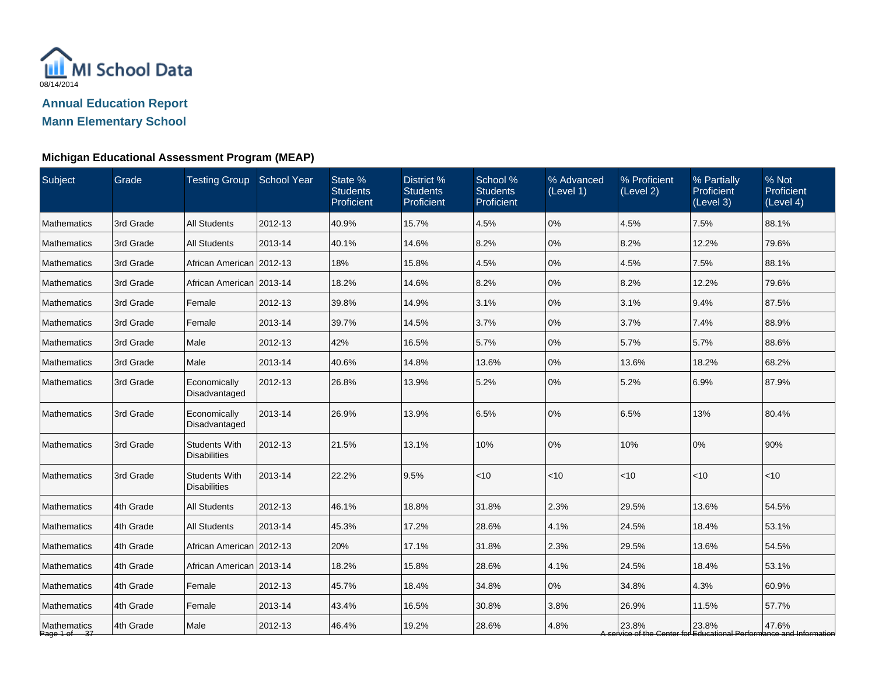

| Subject                     | Grade     | Testing Group School Year                   |         | State %<br><b>Students</b><br>Proficient | District %<br><b>Students</b><br>Proficient | School %<br><b>Students</b><br>Proficient | % Advanced<br>(Level 1) | % Proficient<br>(Level 2) | % Partially<br>Proficient<br>(Level 3) | % Not<br>Proficient<br>(Level 4)                                             |
|-----------------------------|-----------|---------------------------------------------|---------|------------------------------------------|---------------------------------------------|-------------------------------------------|-------------------------|---------------------------|----------------------------------------|------------------------------------------------------------------------------|
| <b>Mathematics</b>          | 3rd Grade | <b>All Students</b>                         | 2012-13 | 40.9%                                    | 15.7%                                       | 4.5%                                      | 0%                      | 4.5%                      | 7.5%                                   | 88.1%                                                                        |
| <b>Mathematics</b>          | 3rd Grade | <b>All Students</b>                         | 2013-14 | 40.1%                                    | 14.6%                                       | 8.2%                                      | 0%                      | 8.2%                      | 12.2%                                  | 79.6%                                                                        |
| <b>Mathematics</b>          | 3rd Grade | African American 2012-13                    |         | 18%                                      | 15.8%                                       | 4.5%                                      | 0%                      | 4.5%                      | 7.5%                                   | 88.1%                                                                        |
| <b>Mathematics</b>          | 3rd Grade | African American   2013-14                  |         | 18.2%                                    | 14.6%                                       | 8.2%                                      | 0%                      | 8.2%                      | 12.2%                                  | 79.6%                                                                        |
| <b>Mathematics</b>          | 3rd Grade | Female                                      | 2012-13 | 39.8%                                    | 14.9%                                       | 3.1%                                      | 0%                      | 3.1%                      | 9.4%                                   | 87.5%                                                                        |
| Mathematics                 | 3rd Grade | Female                                      | 2013-14 | 39.7%                                    | 14.5%                                       | 3.7%                                      | 0%                      | 3.7%                      | 7.4%                                   | 88.9%                                                                        |
| Mathematics                 | 3rd Grade | Male                                        | 2012-13 | 42%                                      | 16.5%                                       | 5.7%                                      | 0%                      | 5.7%                      | 5.7%                                   | 88.6%                                                                        |
| <b>Mathematics</b>          | 3rd Grade | Male                                        | 2013-14 | 40.6%                                    | 14.8%                                       | 13.6%                                     | 0%                      | 13.6%                     | 18.2%                                  | 68.2%                                                                        |
| <b>Mathematics</b>          | 3rd Grade | Economically<br>Disadvantaged               | 2012-13 | 26.8%                                    | 13.9%                                       | 5.2%                                      | 0%                      | 5.2%                      | 6.9%                                   | 87.9%                                                                        |
| <b>Mathematics</b>          | 3rd Grade | Economically<br>Disadvantaged               | 2013-14 | 26.9%                                    | 13.9%                                       | 6.5%                                      | 0%                      | 6.5%                      | 13%                                    | 80.4%                                                                        |
| Mathematics                 | 3rd Grade | <b>Students With</b><br><b>Disabilities</b> | 2012-13 | 21.5%                                    | 13.1%                                       | 10%                                       | 0%                      | 10%                       | 0%                                     | 90%                                                                          |
| <b>Mathematics</b>          | 3rd Grade | <b>Students With</b><br><b>Disabilities</b> | 2013-14 | 22.2%                                    | 9.5%                                        | $<10$                                     | <10                     | < 10                      | <10                                    | <10                                                                          |
| Mathematics                 | 4th Grade | <b>All Students</b>                         | 2012-13 | 46.1%                                    | 18.8%                                       | 31.8%                                     | 2.3%                    | 29.5%                     | 13.6%                                  | 54.5%                                                                        |
| <b>Mathematics</b>          | 4th Grade | <b>All Students</b>                         | 2013-14 | 45.3%                                    | 17.2%                                       | 28.6%                                     | 4.1%                    | 24.5%                     | 18.4%                                  | 53.1%                                                                        |
| <b>Mathematics</b>          | 4th Grade | African American 2012-13                    |         | 20%                                      | 17.1%                                       | 31.8%                                     | 2.3%                    | 29.5%                     | 13.6%                                  | 54.5%                                                                        |
| Mathematics                 | 4th Grade | African American   2013-14                  |         | 18.2%                                    | 15.8%                                       | 28.6%                                     | 4.1%                    | 24.5%                     | 18.4%                                  | 53.1%                                                                        |
| <b>Mathematics</b>          | 4th Grade | Female                                      | 2012-13 | 45.7%                                    | 18.4%                                       | 34.8%                                     | 0%                      | 34.8%                     | 4.3%                                   | 60.9%                                                                        |
| Mathematics                 | 4th Grade | Female                                      | 2013-14 | 43.4%                                    | 16.5%                                       | 30.8%                                     | 3.8%                    | 26.9%                     | 11.5%                                  | 57.7%                                                                        |
| Mathematics<br>Page 1 of 37 | 4th Grade | Male                                        | 2012-13 | 46.4%                                    | 19.2%                                       | 28.6%                                     | 4.8%                    | 23.8%                     | 23.8%                                  | 47.6%<br>A service of the Center for Educational Performance and Information |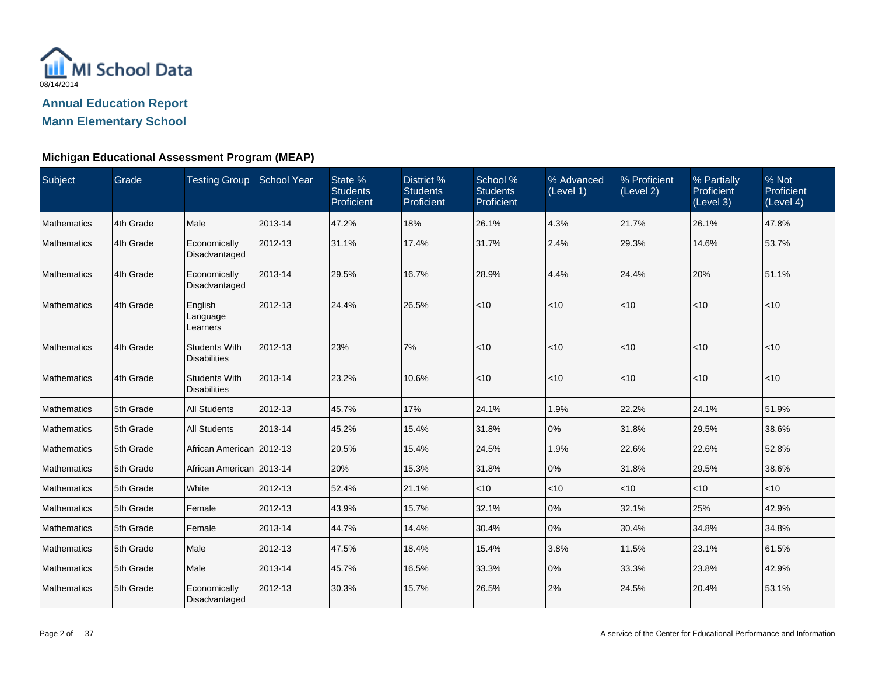

| Subject            | Grade     | Testing Group School Year                   |         | State %<br>Students<br>Proficient | District %<br><b>Students</b><br>Proficient | School %<br>Students<br>Proficient | % Advanced<br>(Level 1) | % Proficient<br>(Level 2) | % Partially<br>Proficient<br>(Level 3) | % Not<br>Proficient<br>(Level 4) |
|--------------------|-----------|---------------------------------------------|---------|-----------------------------------|---------------------------------------------|------------------------------------|-------------------------|---------------------------|----------------------------------------|----------------------------------|
| Mathematics        | 4th Grade | Male                                        | 2013-14 | 47.2%                             | 18%                                         | 26.1%                              | 4.3%                    | 21.7%                     | 26.1%                                  | 47.8%                            |
| <b>Mathematics</b> | 4th Grade | Economically<br>Disadvantaged               | 2012-13 | 31.1%                             | 17.4%                                       | 31.7%                              | 2.4%                    | 29.3%                     | 14.6%                                  | 53.7%                            |
| Mathematics        | 4th Grade | Economically<br>Disadvantaged               | 2013-14 | 29.5%                             | 16.7%                                       | 28.9%                              | 4.4%                    | 24.4%                     | 20%                                    | 51.1%                            |
| <b>Mathematics</b> | 4th Grade | English<br>Language<br>Learners             | 2012-13 | 24.4%                             | 26.5%                                       | < 10                               | < 10                    | $<10$                     | $<10$                                  | < 10                             |
| Mathematics        | 4th Grade | <b>Students With</b><br><b>Disabilities</b> | 2012-13 | 23%                               | 7%                                          | < 10                               | < 10                    | < 10                      | $\vert$ < 10                           | < 10                             |
| <b>Mathematics</b> | 4th Grade | <b>Students With</b><br><b>Disabilities</b> | 2013-14 | 23.2%                             | 10.6%                                       | < 10                               | < 10                    | $<$ 10                    | $<10$                                  | < 10                             |
| Mathematics        | 5th Grade | <b>All Students</b>                         | 2012-13 | 45.7%                             | 17%                                         | 24.1%                              | 1.9%                    | 22.2%                     | 24.1%                                  | 51.9%                            |
| <b>Mathematics</b> | 5th Grade | <b>All Students</b>                         | 2013-14 | 45.2%                             | 15.4%                                       | 31.8%                              | 0%                      | 31.8%                     | 29.5%                                  | 38.6%                            |
| Mathematics        | 5th Grade | African American 2012-13                    |         | 20.5%                             | 15.4%                                       | 24.5%                              | 1.9%                    | 22.6%                     | 22.6%                                  | 52.8%                            |
| <b>Mathematics</b> | 5th Grade | African American   2013-14                  |         | 20%                               | 15.3%                                       | 31.8%                              | 0%                      | 31.8%                     | 29.5%                                  | 38.6%                            |
| <b>Mathematics</b> | 5th Grade | White                                       | 2012-13 | 52.4%                             | 21.1%                                       | < 10                               | < 10                    | $<$ 10                    | < 10                                   | $<$ 10                           |
| Mathematics        | 5th Grade | Female                                      | 2012-13 | 43.9%                             | 15.7%                                       | 32.1%                              | 0%                      | 32.1%                     | 25%                                    | 42.9%                            |
| <b>Mathematics</b> | 5th Grade | Female                                      | 2013-14 | 44.7%                             | 14.4%                                       | 30.4%                              | 0%                      | 30.4%                     | 34.8%                                  | 34.8%                            |
| Mathematics        | 5th Grade | Male                                        | 2012-13 | 47.5%                             | 18.4%                                       | 15.4%                              | 3.8%                    | 11.5%                     | 23.1%                                  | 61.5%                            |
| <b>Mathematics</b> | 5th Grade | Male                                        | 2013-14 | 45.7%                             | 16.5%                                       | 33.3%                              | 0%                      | 33.3%                     | 23.8%                                  | 42.9%                            |
| Mathematics        | 5th Grade | Economically<br>Disadvantaged               | 2012-13 | 30.3%                             | 15.7%                                       | 26.5%                              | 2%                      | 24.5%                     | 20.4%                                  | 53.1%                            |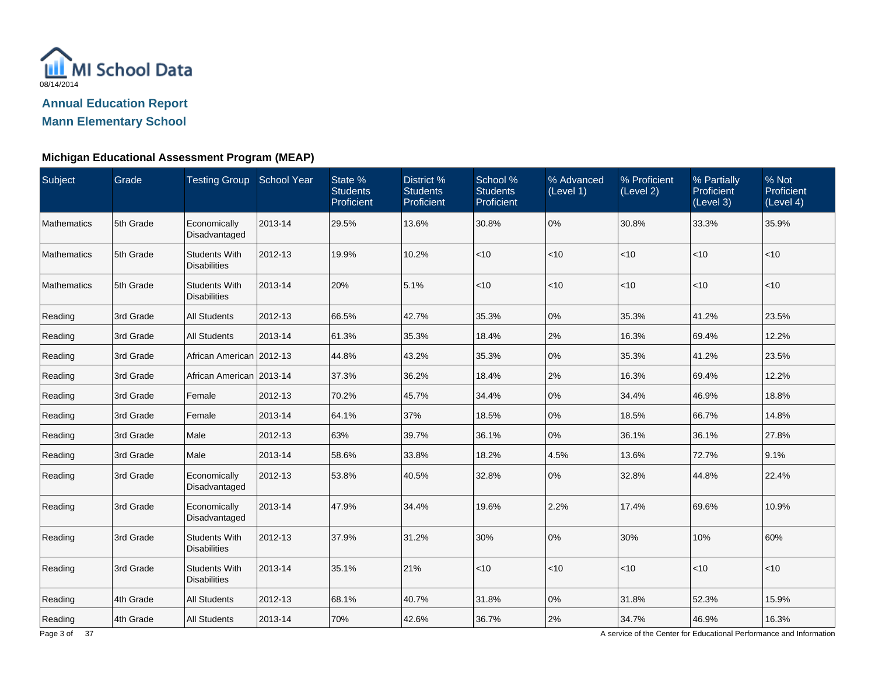

#### **Michigan Educational Assessment Program (MEAP)**

| Subject            | <b>Grade</b> | <b>Testing Group School Year</b>            |         | State %<br><b>Students</b><br>Proficient | District %<br><b>Students</b><br>Proficient | School %<br><b>Students</b><br>Proficient | % Advanced<br>(Level 1) | % Proficient<br>(Level 2) | % Partially<br><b>Proficient</b><br>(Level 3) | % Not<br>Proficient<br>(Level 4) |
|--------------------|--------------|---------------------------------------------|---------|------------------------------------------|---------------------------------------------|-------------------------------------------|-------------------------|---------------------------|-----------------------------------------------|----------------------------------|
| Mathematics        | 5th Grade    | Economically<br>Disadvantaged               | 2013-14 | 29.5%                                    | 13.6%                                       | 30.8%                                     | 0%                      | 30.8%                     | 33.3%                                         | 35.9%                            |
| Mathematics        | 5th Grade    | <b>Students With</b><br><b>Disabilities</b> | 2012-13 | 19.9%                                    | 10.2%                                       | $<10$                                     | < 10                    | < 10                      | $<$ 10                                        | $<$ 10                           |
| <b>Mathematics</b> | 5th Grade    | <b>Students With</b><br><b>Disabilities</b> | 2013-14 | 20%                                      | 5.1%                                        | < 10                                      | < 10                    | $ $ < 10                  | $<$ 10                                        | $<$ 10                           |
| Reading            | 3rd Grade    | <b>All Students</b>                         | 2012-13 | 66.5%                                    | 42.7%                                       | 35.3%                                     | 0%                      | 35.3%                     | 41.2%                                         | 23.5%                            |
| Reading            | 3rd Grade    | <b>All Students</b>                         | 2013-14 | 61.3%                                    | 35.3%                                       | 18.4%                                     | 2%                      | 16.3%                     | 69.4%                                         | 12.2%                            |
| Reading            | 3rd Grade    | African American 2012-13                    |         | 44.8%                                    | 43.2%                                       | 35.3%                                     | 0%                      | 35.3%                     | 41.2%                                         | 23.5%                            |
| Reading            | 3rd Grade    | African American   2013-14                  |         | 37.3%                                    | 36.2%                                       | 18.4%                                     | 2%                      | 16.3%                     | 69.4%                                         | 12.2%                            |
| Reading            | 3rd Grade    | Female                                      | 2012-13 | 70.2%                                    | 45.7%                                       | 34.4%                                     | 0%                      | 34.4%                     | 46.9%                                         | 18.8%                            |
| Reading            | 3rd Grade    | Female                                      | 2013-14 | 64.1%                                    | 37%                                         | 18.5%                                     | 0%                      | 18.5%                     | 66.7%                                         | 14.8%                            |
| Reading            | 3rd Grade    | Male                                        | 2012-13 | 63%                                      | 39.7%                                       | 36.1%                                     | 0%                      | 36.1%                     | 36.1%                                         | 27.8%                            |
| Reading            | 3rd Grade    | Male                                        | 2013-14 | 58.6%                                    | 33.8%                                       | 18.2%                                     | 4.5%                    | 13.6%                     | 72.7%                                         | 9.1%                             |
| Reading            | 3rd Grade    | Economically<br>Disadvantaged               | 2012-13 | 53.8%                                    | 40.5%                                       | 32.8%                                     | 0%                      | 32.8%                     | 44.8%                                         | 22.4%                            |
| Reading            | 3rd Grade    | Economically<br>Disadvantaged               | 2013-14 | 47.9%                                    | 34.4%                                       | 19.6%                                     | 2.2%                    | 17.4%                     | 69.6%                                         | 10.9%                            |
| Reading            | 3rd Grade    | <b>Students With</b><br><b>Disabilities</b> | 2012-13 | 37.9%                                    | 31.2%                                       | 30%                                       | 0%                      | 30%                       | 10%                                           | 60%                              |
| Reading            | 3rd Grade    | <b>Students With</b><br><b>Disabilities</b> | 2013-14 | 35.1%                                    | 21%                                         | $<10$                                     | < 10                    | $<$ 10                    | $<$ 10                                        | $<$ 10                           |
| Reading            | 4th Grade    | <b>All Students</b>                         | 2012-13 | 68.1%                                    | 40.7%                                       | 31.8%                                     | 0%                      | 31.8%                     | 52.3%                                         | 15.9%                            |
| Reading            | 4th Grade    | <b>All Students</b>                         | 2013-14 | 70%                                      | 42.6%                                       | 36.7%                                     | 2%                      | 34.7%                     | 46.9%                                         | 16.3%                            |

A service of the Center for Educational Performance and Information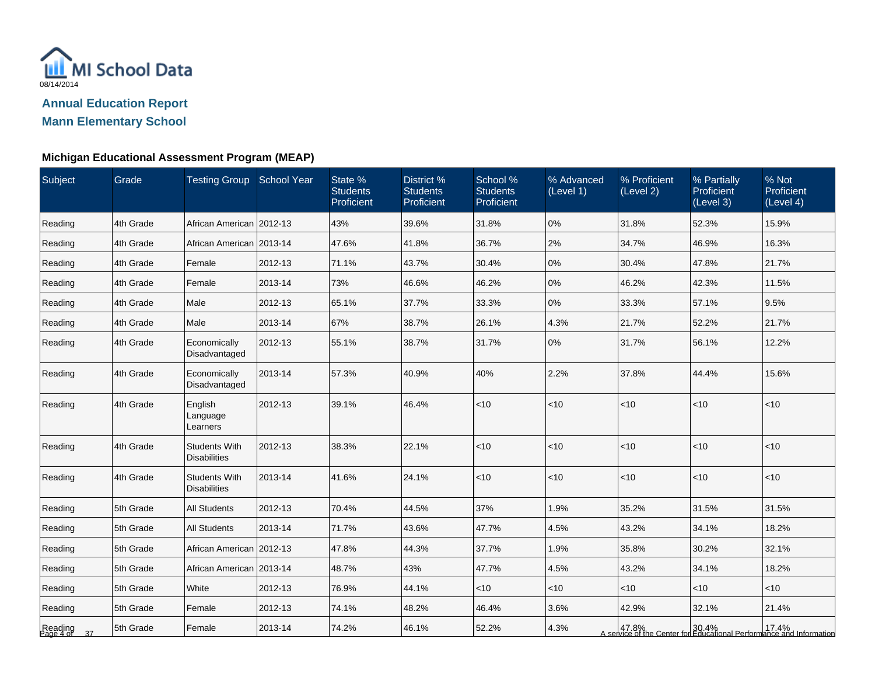

| <b>Subject</b>          | Grade     | <b>Testing Group School Year</b>            |         | State %<br><b>Students</b><br>Proficient | District %<br><b>Students</b><br>Proficient | School %<br><b>Students</b><br>Proficient | % Advanced<br>(Level 1) | % Proficient<br>(Level 2) | % Partially<br>Proficient<br>(Level 3) | % Not<br>Proficient<br>(Level 4)                                                                              |
|-------------------------|-----------|---------------------------------------------|---------|------------------------------------------|---------------------------------------------|-------------------------------------------|-------------------------|---------------------------|----------------------------------------|---------------------------------------------------------------------------------------------------------------|
| Reading                 | 4th Grade | African American 2012-13                    |         | 43%                                      | 39.6%                                       | 31.8%                                     | 0%                      | 31.8%                     | 52.3%                                  | 15.9%                                                                                                         |
| Reading                 | 4th Grade | African American 2013-14                    |         | 47.6%                                    | 41.8%                                       | 36.7%                                     | 2%                      | 34.7%                     | 46.9%                                  | 16.3%                                                                                                         |
| Reading                 | 4th Grade | Female                                      | 2012-13 | 71.1%                                    | 43.7%                                       | 30.4%                                     | 0%                      | 30.4%                     | 47.8%                                  | 21.7%                                                                                                         |
| Reading                 | 4th Grade | Female                                      | 2013-14 | 73%                                      | 46.6%                                       | 46.2%                                     | 0%                      | 46.2%                     | 42.3%                                  | 11.5%                                                                                                         |
| Reading                 | 4th Grade | Male                                        | 2012-13 | 65.1%                                    | 37.7%                                       | 33.3%                                     | 0%                      | 33.3%                     | 57.1%                                  | 9.5%                                                                                                          |
| Reading                 | 4th Grade | Male                                        | 2013-14 | 67%                                      | 38.7%                                       | 26.1%                                     | 4.3%                    | 21.7%                     | 52.2%                                  | 21.7%                                                                                                         |
| Reading                 | 4th Grade | Economically<br>Disadvantaged               | 2012-13 | 55.1%                                    | 38.7%                                       | 31.7%                                     | 0%                      | 31.7%                     | 56.1%                                  | 12.2%                                                                                                         |
| Reading                 | 4th Grade | Economically<br>Disadvantaged               | 2013-14 | 57.3%                                    | 40.9%                                       | 40%                                       | 2.2%                    | 37.8%                     | 44.4%                                  | 15.6%                                                                                                         |
| Reading                 | 4th Grade | English<br>Language<br>Learners             | 2012-13 | 39.1%                                    | 46.4%                                       | $<10$                                     | < 10                    | $<$ 10                    | $<$ 10                                 | $<$ 10                                                                                                        |
| Reading                 | 4th Grade | <b>Students With</b><br><b>Disabilities</b> | 2012-13 | 38.3%                                    | 22.1%                                       | < 10                                      | < 10                    | < 10                      | < 10                                   | $<$ 10                                                                                                        |
| Reading                 | 4th Grade | <b>Students With</b><br><b>Disabilities</b> | 2013-14 | 41.6%                                    | 24.1%                                       | < 10                                      | < 10                    | < 10                      | $<$ 10                                 | $<$ 10                                                                                                        |
| Reading                 | 5th Grade | <b>All Students</b>                         | 2012-13 | 70.4%                                    | 44.5%                                       | 37%                                       | 1.9%                    | 35.2%                     | 31.5%                                  | 31.5%                                                                                                         |
| Reading                 | 5th Grade | <b>All Students</b>                         | 2013-14 | 71.7%                                    | 43.6%                                       | 47.7%                                     | 4.5%                    | 43.2%                     | 34.1%                                  | 18.2%                                                                                                         |
| Reading                 | 5th Grade | African American 2012-13                    |         | 47.8%                                    | 44.3%                                       | 37.7%                                     | 1.9%                    | 35.8%                     | 30.2%                                  | 32.1%                                                                                                         |
| Reading                 | 5th Grade | African American 2013-14                    |         | 48.7%                                    | 43%                                         | 47.7%                                     | 4.5%                    | 43.2%                     | 34.1%                                  | 18.2%                                                                                                         |
| Reading                 | 5th Grade | White                                       | 2012-13 | 76.9%                                    | 44.1%                                       | < 10                                      | $<$ 10                  | $<$ 10                    | <10                                    | <10                                                                                                           |
| Reading                 | 5th Grade | Female                                      | 2012-13 | 74.1%                                    | 48.2%                                       | 46.4%                                     | 3.6%                    | 42.9%                     | 32.1%                                  | 21.4%                                                                                                         |
| Reading<br>Page 4 of 37 | 5th Grade | Female                                      | 2013-14 | 74.2%                                    | 46.1%                                       | 52.2%                                     | 4.3%                    |                           |                                        | 47.8%   47.8%   47.8%   47.8%   50.4%   50.4%   50.4%   50.4%   50.4%   50.4%   50.4%   50.5%   50.5%   50.5% |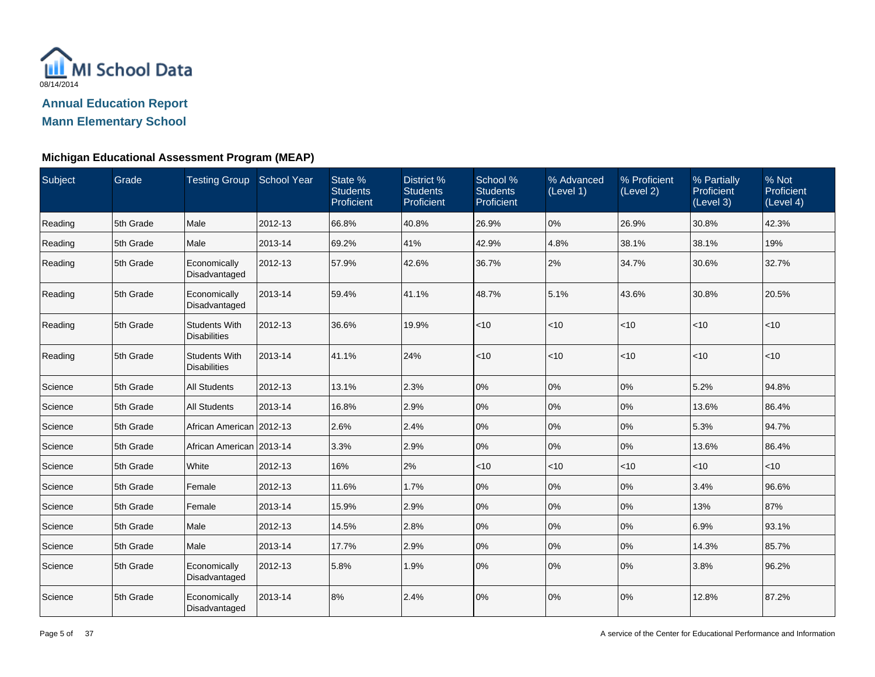

| Subject | Grade     | Testing Group School Year                   |         | State %<br><b>Students</b><br>Proficient | District %<br><b>Students</b><br>Proficient | School %<br><b>Students</b><br>Proficient | % Advanced<br>(Level 1) | % Proficient<br>(Level 2) | % Partially<br>Proficient<br>(Level 3) | % Not<br>Proficient<br>(Level 4) |
|---------|-----------|---------------------------------------------|---------|------------------------------------------|---------------------------------------------|-------------------------------------------|-------------------------|---------------------------|----------------------------------------|----------------------------------|
| Reading | 5th Grade | Male                                        | 2012-13 | 66.8%                                    | 40.8%                                       | 26.9%                                     | 0%                      | 26.9%                     | 30.8%                                  | 42.3%                            |
| Reading | 5th Grade | Male                                        | 2013-14 | 69.2%                                    | 41%                                         | 42.9%                                     | 4.8%                    | 38.1%                     | 38.1%                                  | 19%                              |
| Reading | 5th Grade | Economically<br>Disadvantaged               | 2012-13 | 57.9%                                    | 42.6%                                       | 36.7%                                     | 2%                      | 34.7%                     | 30.6%                                  | 32.7%                            |
| Reading | 5th Grade | Economically<br>Disadvantaged               | 2013-14 | 59.4%                                    | 41.1%                                       | 48.7%                                     | 5.1%                    | 43.6%                     | 30.8%                                  | 20.5%                            |
| Reading | 5th Grade | <b>Students With</b><br><b>Disabilities</b> | 2012-13 | 36.6%                                    | 19.9%                                       | < 10                                      | < 10                    | $ $ < 10                  | < 10                                   | $<$ 10                           |
| Reading | 5th Grade | <b>Students With</b><br><b>Disabilities</b> | 2013-14 | 41.1%                                    | 24%                                         | $<$ 10                                    | < 10                    | $<$ 10                    | $<$ 10                                 | $<$ 10                           |
| Science | 5th Grade | <b>All Students</b>                         | 2012-13 | 13.1%                                    | 2.3%                                        | 0%                                        | 0%                      | 0%                        | 5.2%                                   | 94.8%                            |
| Science | 5th Grade | <b>All Students</b>                         | 2013-14 | 16.8%                                    | 2.9%                                        | 0%                                        | 0%                      | 0%                        | 13.6%                                  | 86.4%                            |
| Science | 5th Grade | African American 2012-13                    |         | 2.6%                                     | 2.4%                                        | 0%                                        | 0%                      | 0%                        | 5.3%                                   | 94.7%                            |
| Science | 5th Grade | African American 2013-14                    |         | 3.3%                                     | 2.9%                                        | 0%                                        | 0%                      | $10\%$                    | 13.6%                                  | 86.4%                            |
| Science | 5th Grade | White                                       | 2012-13 | 16%                                      | 2%                                          | $<10$                                     | < 10                    | $<$ 10                    | $<$ 10                                 | $<$ 10                           |
| Science | 5th Grade | Female                                      | 2012-13 | 11.6%                                    | 1.7%                                        | 0%                                        | 0%                      | 0%                        | 3.4%                                   | 96.6%                            |
| Science | 5th Grade | Female                                      | 2013-14 | 15.9%                                    | 2.9%                                        | 0%                                        | 0%                      | 0%                        | 13%                                    | 87%                              |
| Science | 5th Grade | Male                                        | 2012-13 | 14.5%                                    | 2.8%                                        | 0%                                        | 0%                      | 0%                        | 6.9%                                   | 93.1%                            |
| Science | 5th Grade | Male                                        | 2013-14 | 17.7%                                    | 2.9%                                        | 0%                                        | 0%                      | 0%                        | 14.3%                                  | 85.7%                            |
| Science | 5th Grade | Economically<br>Disadvantaged               | 2012-13 | 5.8%                                     | 1.9%                                        | 0%                                        | 0%                      | 0%                        | 3.8%                                   | 96.2%                            |
| Science | 5th Grade | Economically<br>Disadvantaged               | 2013-14 | 8%                                       | 2.4%                                        | 0%                                        | 0%                      | 0%                        | 12.8%                                  | 87.2%                            |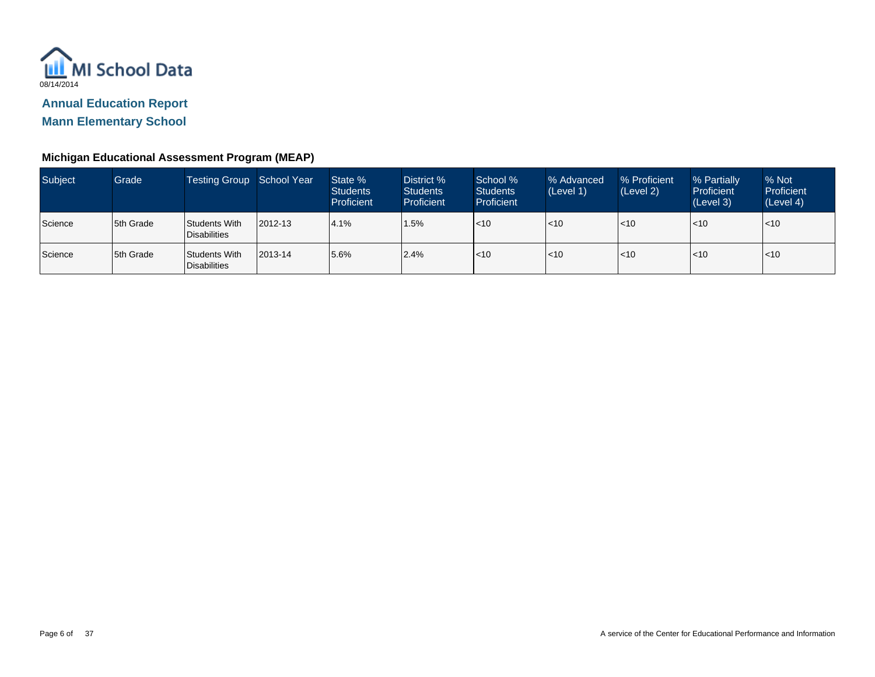

**Mann Elementary School**

| Subject | Grade     | Testing Group School Year     |         | State %<br><b>Students</b><br>Proficient | District %<br><b>Students</b><br>Proficient | School %<br><b>Students</b><br><b>Proficient</b> | % Advanced<br>(Level 1) | % Proficient<br>(Level 2) | % Partially<br>Proficient<br>(Level 3) | % Not<br>Proficient<br>(Level 4) |
|---------|-----------|-------------------------------|---------|------------------------------------------|---------------------------------------------|--------------------------------------------------|-------------------------|---------------------------|----------------------------------------|----------------------------------|
| Science | 5th Grade | Students With<br>Disabilities | 2012-13 | 4.1%                                     | 1.5%                                        | < 10                                             | $ $ < 10                | $<$ 10                    | $\leq 10$                              | l<10                             |
| Science | 5th Grade | Students With<br>Disabilities | 2013-14 | 5.6%                                     | 2.4%                                        | < 10                                             | $ $ < 10                | $<$ 10                    | $\leq 10$                              | l<10                             |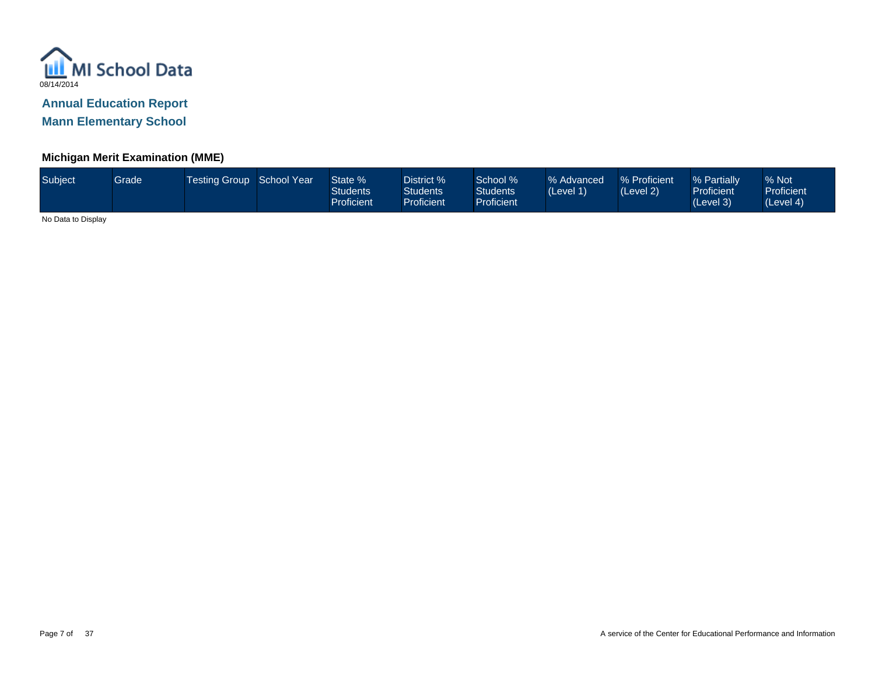

### **Michigan Merit Examination (MME)**

| Subject | Grade | Testing Group School Year |  | State %<br>Students<br>Proficient | District %<br>Students <sup>®</sup><br><b>Proficient</b> | School %<br><b>Students</b><br>Proficient <sup>1</sup> | % Advanced<br>(Level 1) | % Proficient<br>(Level 2) | % Partially<br><b>Proficient</b><br>(Level 3) | % Not<br><b>Proficient</b><br>(Level 4) |
|---------|-------|---------------------------|--|-----------------------------------|----------------------------------------------------------|--------------------------------------------------------|-------------------------|---------------------------|-----------------------------------------------|-----------------------------------------|
|---------|-------|---------------------------|--|-----------------------------------|----------------------------------------------------------|--------------------------------------------------------|-------------------------|---------------------------|-----------------------------------------------|-----------------------------------------|

No Data to Display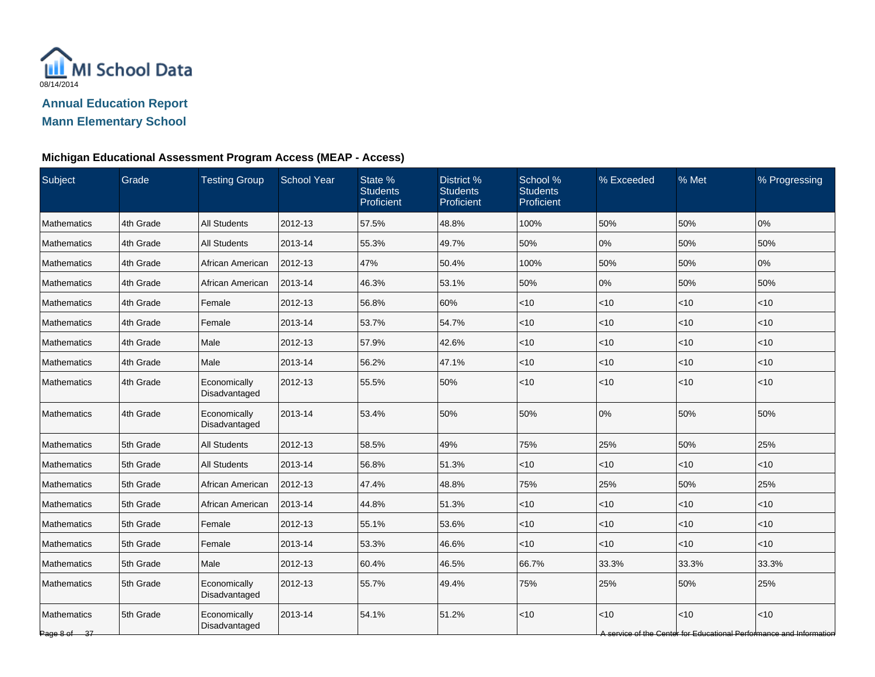

### **Michigan Educational Assessment Program Access (MEAP - Access)**

| Subject                     | Grade     | <b>Testing Group</b>          | School Year | State %<br><b>Students</b><br>Proficient | District %<br><b>Students</b><br>Proficient | School %<br><b>Students</b><br>Proficient | % Exceeded | % Met  | % Progressing                                                               |
|-----------------------------|-----------|-------------------------------|-------------|------------------------------------------|---------------------------------------------|-------------------------------------------|------------|--------|-----------------------------------------------------------------------------|
| <b>Mathematics</b>          | 4th Grade | <b>All Students</b>           | 2012-13     | 57.5%                                    | 48.8%                                       | 100%                                      | 50%        | 50%    | 0%                                                                          |
| Mathematics                 | 4th Grade | <b>All Students</b>           | 2013-14     | 55.3%                                    | 49.7%                                       | 50%                                       | 0%         | 50%    | 50%                                                                         |
| Mathematics                 | 4th Grade | African American              | 2012-13     | 47%                                      | 50.4%                                       | 100%                                      | 50%        | 50%    | 0%                                                                          |
| Mathematics                 | 4th Grade | African American              | 2013-14     | 46.3%                                    | 53.1%                                       | 50%                                       | 0%         | 50%    | 50%                                                                         |
| Mathematics                 | 4th Grade | Female                        | 2012-13     | 56.8%                                    | 60%                                         | $<$ 10                                    | $<$ 10     | $<$ 10 | $<$ 10                                                                      |
| Mathematics                 | 4th Grade | Female                        | 2013-14     | 53.7%                                    | 54.7%                                       | < 10                                      | $<$ 10     | < 10   | <10                                                                         |
| Mathematics                 | 4th Grade | Male                          | 2012-13     | 57.9%                                    | 42.6%                                       | < 10                                      | $<$ 10     | < 10   | < 10                                                                        |
| Mathematics                 | 4th Grade | Male                          | 2013-14     | 56.2%                                    | 47.1%                                       | $<10$                                     | $<$ 10     | < 10   | <10                                                                         |
| <b>Mathematics</b>          | 4th Grade | Economically<br>Disadvantaged | 2012-13     | 55.5%                                    | 50%                                         | $<10$                                     | $<$ 10     | < 10   | < 10                                                                        |
| <b>Mathematics</b>          | 4th Grade | Economically<br>Disadvantaged | 2013-14     | 53.4%                                    | 50%                                         | 50%                                       | 0%         | 50%    | 50%                                                                         |
| Mathematics                 | 5th Grade | <b>All Students</b>           | 2012-13     | 58.5%                                    | 49%                                         | 75%                                       | 25%        | 50%    | 25%                                                                         |
| Mathematics                 | 5th Grade | <b>All Students</b>           | 2013-14     | 56.8%                                    | 51.3%                                       | < 10                                      | $<$ 10     | < 10   | < 10                                                                        |
| Mathematics                 | 5th Grade | African American              | 2012-13     | 47.4%                                    | 48.8%                                       | 75%                                       | 25%        | 50%    | 25%                                                                         |
| Mathematics                 | 5th Grade | African American              | 2013-14     | 44.8%                                    | 51.3%                                       | $<$ 10                                    | $<$ 10     | $<$ 10 | $<$ 10                                                                      |
| Mathematics                 | 5th Grade | Female                        | 2012-13     | 55.1%                                    | 53.6%                                       | < 10                                      | $<$ 10     | $<$ 10 | $<$ 10                                                                      |
| Mathematics                 | 5th Grade | Female                        | 2013-14     | 53.3%                                    | 46.6%                                       | < 10                                      | $<$ 10     | < 10   | $<$ 10                                                                      |
| <b>Mathematics</b>          | 5th Grade | Male                          | 2012-13     | 60.4%                                    | 46.5%                                       | 66.7%                                     | 33.3%      | 33.3%  | 33.3%                                                                       |
| Mathematics                 | 5th Grade | Economically<br>Disadvantaged | 2012-13     | 55.7%                                    | 49.4%                                       | 75%                                       | 25%        | 50%    | 25%                                                                         |
| Mathematics<br>Page 8 of 37 | 5th Grade | Economically<br>Disadvantaged | 2013-14     | 54.1%                                    | 51.2%                                       | <10                                       | <10        | < 10   | < 10<br>A service of the Center for Educational Performance and Information |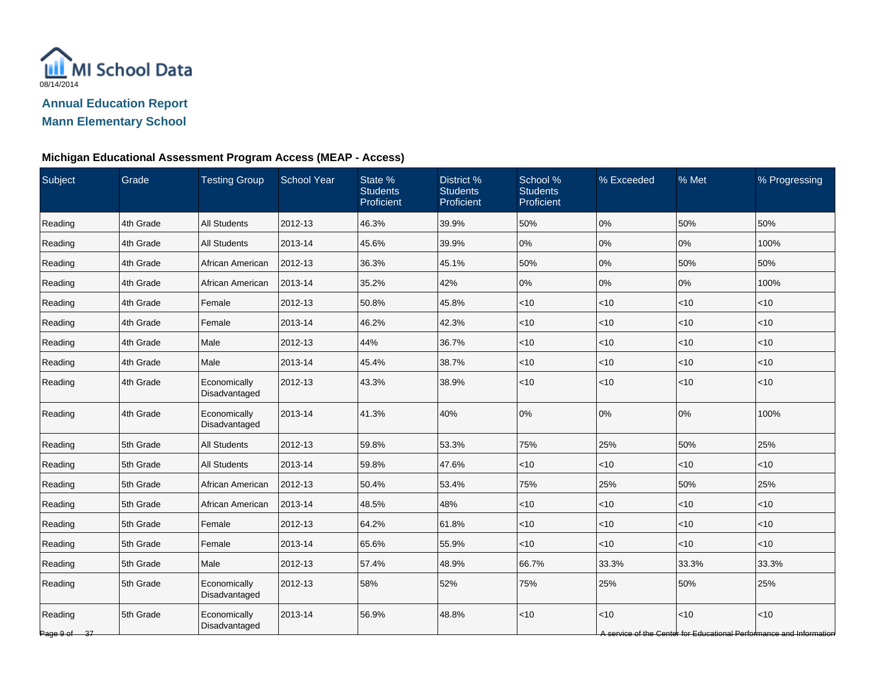

### **Michigan Educational Assessment Program Access (MEAP - Access)**

| Subject                 | Grade     | <b>Testing Group</b>          | <b>School Year</b> | State %<br><b>Students</b><br>Proficient | District %<br><b>Students</b><br>Proficient | School %<br><b>Students</b><br>Proficient | % Exceeded | % Met        | % Progressing                                                              |
|-------------------------|-----------|-------------------------------|--------------------|------------------------------------------|---------------------------------------------|-------------------------------------------|------------|--------------|----------------------------------------------------------------------------|
| Reading                 | 4th Grade | <b>All Students</b>           | 2012-13            | 46.3%                                    | 39.9%                                       | 50%                                       | 0%         | 50%          | 50%                                                                        |
| Reading                 | 4th Grade | <b>All Students</b>           | 2013-14            | 45.6%                                    | 39.9%                                       | $0\%$                                     | 0%         | 0%           | 100%                                                                       |
| Reading                 | 4th Grade | African American              | 2012-13            | 36.3%                                    | 45.1%                                       | 50%                                       | 0%         | 50%          | 50%                                                                        |
| Reading                 | 4th Grade | African American              | 2013-14            | 35.2%                                    | 42%                                         | 0%                                        | 0%         | 0%           | 100%                                                                       |
| Reading                 | 4th Grade | Female                        | 2012-13            | 50.8%                                    | 45.8%                                       | $<$ 10                                    | $<$ 10     | $<$ 10       | $<$ 10                                                                     |
| Reading                 | 4th Grade | Female                        | 2013-14            | 46.2%                                    | 42.3%                                       | < 10                                      | $<$ 10     | $\vert$ < 10 | <10                                                                        |
| Reading                 | 4th Grade | Male                          | 2012-13            | 44%                                      | 36.7%                                       | < 10                                      | $<$ 10     | < 10         | <10                                                                        |
| Reading                 | 4th Grade | Male                          | 2013-14            | 45.4%                                    | 38.7%                                       | < 10                                      | $<$ 10     | $<10$        | <10                                                                        |
| Reading                 | 4th Grade | Economically<br>Disadvantaged | 2012-13            | 43.3%                                    | 38.9%                                       | <10                                       | $ $ < 10   | < 10         | < 10                                                                       |
| Reading                 | 4th Grade | Economically<br>Disadvantaged | 2013-14            | 41.3%                                    | 40%                                         | 0%                                        | 0%         | 0%           | 100%                                                                       |
| Reading                 | 5th Grade | <b>All Students</b>           | 2012-13            | 59.8%                                    | 53.3%                                       | 75%                                       | 25%        | 50%          | 25%                                                                        |
| Reading                 | 5th Grade | <b>All Students</b>           | 2013-14            | 59.8%                                    | 47.6%                                       | < 10                                      | $<$ 10     | < 10         | < 10                                                                       |
| Reading                 | 5th Grade | African American              | 2012-13            | 50.4%                                    | 53.4%                                       | 75%                                       | 25%        | 50%          | 25%                                                                        |
| Reading                 | 5th Grade | African American              | 2013-14            | 48.5%                                    | 48%                                         | $<$ 10                                    | $<$ 10     | $<$ 10       | $<$ 10                                                                     |
| Reading                 | 5th Grade | Female                        | 2012-13            | 64.2%                                    | 61.8%                                       | $<$ 10                                    | $<$ 10     | $<$ 10       | $<$ 10                                                                     |
| Reading                 | 5th Grade | Female                        | 2013-14            | 65.6%                                    | 55.9%                                       | < 10                                      | $<$ 10     | $ $ < 10     | <10                                                                        |
| Reading                 | 5th Grade | Male                          | 2012-13            | 57.4%                                    | 48.9%                                       | 66.7%                                     | 33.3%      | 33.3%        | 33.3%                                                                      |
| Reading                 | 5th Grade | Economically<br>Disadvantaged | 2012-13            | 58%                                      | 52%                                         | 75%                                       | 25%        | 50%          | 25%                                                                        |
| Reading<br>Page 9 of 37 | 5th Grade | Economically<br>Disadvantaged | 2013-14            | 56.9%                                    | 48.8%                                       | <10                                       | $ $ < 10   | < 10         | <10<br>A service of the Center for Educational Performance and Information |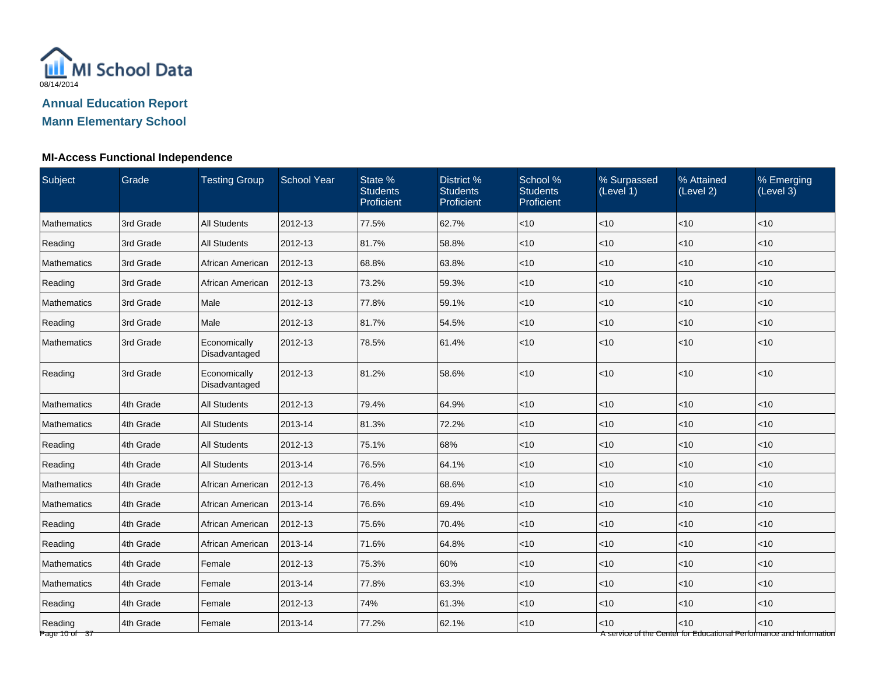

### **MI-Access Functional Independence**

| Subject                    | Grade     | <b>Testing Group</b>          | <b>School Year</b> | State %<br><b>Students</b><br>Proficient | District %<br><b>Students</b><br>Proficient | School %<br><b>Students</b><br>Proficient | % Surpassed<br>(Level 1) | % Attained<br>(Level 2) | % Emerging<br>(Level 3)                                                      |
|----------------------------|-----------|-------------------------------|--------------------|------------------------------------------|---------------------------------------------|-------------------------------------------|--------------------------|-------------------------|------------------------------------------------------------------------------|
| Mathematics                | 3rd Grade | <b>All Students</b>           | 2012-13            | 77.5%                                    | 62.7%                                       | $<$ 10                                    | < 10                     | < 10                    | < 10                                                                         |
| Reading                    | 3rd Grade | <b>All Students</b>           | 2012-13            | 81.7%                                    | 58.8%                                       | < 10                                      | $<$ 10                   | < 10                    | < 10                                                                         |
| <b>Mathematics</b>         | 3rd Grade | African American              | 2012-13            | 68.8%                                    | 63.8%                                       | < 10                                      | $<$ 10                   | < 10                    | < 10                                                                         |
| Reading                    | 3rd Grade | African American              | 2012-13            | 73.2%                                    | 59.3%                                       | < 10                                      | $<$ 10                   | < 10                    | $<$ 10                                                                       |
| <b>Mathematics</b>         | 3rd Grade | Male                          | 2012-13            | 77.8%                                    | 59.1%                                       | < 10                                      | $<$ 10                   | < 10                    | < 10                                                                         |
| Reading                    | 3rd Grade | Male                          | 2012-13            | 81.7%                                    | 54.5%                                       | $<$ 10                                    | $<$ 10                   | < 10                    | $<$ 10                                                                       |
| Mathematics                | 3rd Grade | Economically<br>Disadvantaged | 2012-13            | 78.5%                                    | 61.4%                                       | < 10                                      | $<$ 10                   | < 10                    | $<10$                                                                        |
| Reading                    | 3rd Grade | Economically<br>Disadvantaged | 2012-13            | 81.2%                                    | 58.6%                                       | <10                                       | $<$ 10                   | <10                     | < 10                                                                         |
| Mathematics                | 4th Grade | <b>All Students</b>           | 2012-13            | 79.4%                                    | 64.9%                                       | < 10                                      | $<$ 10                   | <10                     | < 10                                                                         |
| Mathematics                | 4th Grade | <b>All Students</b>           | 2013-14            | 81.3%                                    | 72.2%                                       | $<$ 10                                    | < 10                     | < 10                    | < 10                                                                         |
| Reading                    | 4th Grade | <b>All Students</b>           | 2012-13            | 75.1%                                    | 68%                                         | < 10                                      | $<$ 10                   | < 10                    | < 10                                                                         |
| Reading                    | 4th Grade | <b>All Students</b>           | 2013-14            | 76.5%                                    | 64.1%                                       | $<$ 10                                    | $<$ 10                   | < 10                    | $<$ 10                                                                       |
| Mathematics                | 4th Grade | African American              | 2012-13            | 76.4%                                    | 68.6%                                       | $<$ 10                                    | $<$ 10                   | < 10                    | $<$ 10                                                                       |
| Mathematics                | 4th Grade | African American              | 2013-14            | 76.6%                                    | 69.4%                                       | < 10                                      | $<$ 10                   | < 10                    | $<$ 10                                                                       |
| Reading                    | 4th Grade | African American              | 2012-13            | 75.6%                                    | 70.4%                                       | < 10                                      | $<$ 10                   | < 10                    | < 10                                                                         |
| Reading                    | 4th Grade | African American              | 2013-14            | 71.6%                                    | 64.8%                                       | $<$ 10                                    | < 10                     | < 10                    | $<$ 10                                                                       |
| <b>Mathematics</b>         | 4th Grade | Female                        | 2012-13            | 75.3%                                    | 60%                                         | $<$ 10                                    | $<$ 10                   | < 10                    | $<$ 10                                                                       |
| <b>Mathematics</b>         | 4th Grade | Female                        | 2013-14            | 77.8%                                    | 63.3%                                       | $<$ 10                                    | $<$ 10                   | < 10                    | $<$ 10                                                                       |
| Reading                    | 4th Grade | Female                        | 2012-13            | 74%                                      | 61.3%                                       | < 10                                      | $<$ 10                   | < 10                    | < 10                                                                         |
| Reading<br>Page 10 of $37$ | 4th Grade | Female                        | 2013-14            | 77.2%                                    | 62.1%                                       | $<$ 10                                    | < 10                     | <10                     | $<10$<br>A service of the Center for Educational Performance and Information |

age 10 o 37 A service of the Center for Educational Performance and Information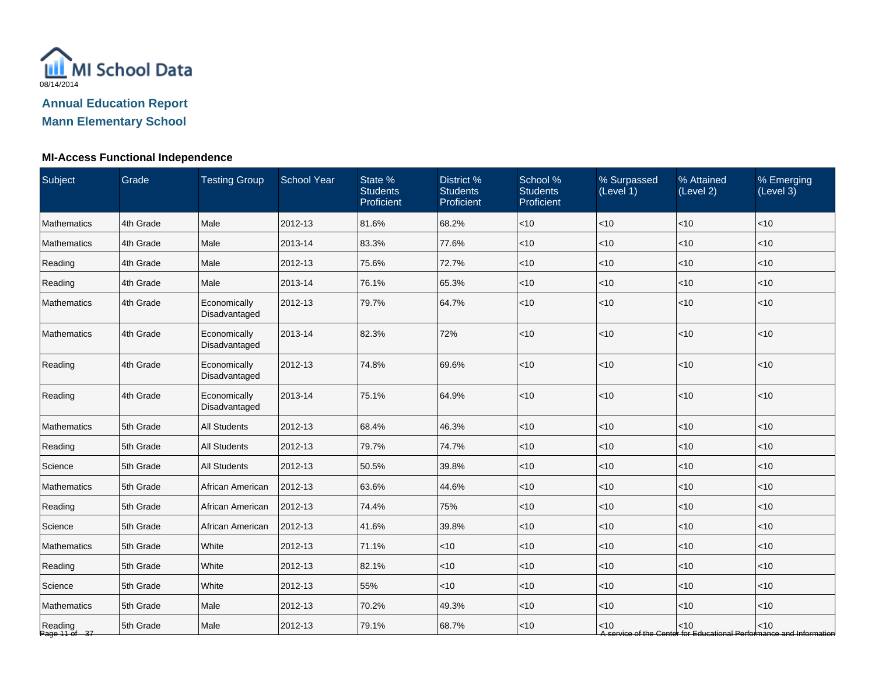

### **MI-Access Functional Independence**

| Subject                  | Grade     | <b>Testing Group</b>          | <b>School Year</b> | State %<br><b>Students</b><br>Proficient | District %<br><b>Students</b><br>Proficient | School %<br><b>Students</b><br>Proficient | % Surpassed<br>(Level 1) | % Attained<br>(Level 2) | % Emerging<br>(Level 3)                                                       |
|--------------------------|-----------|-------------------------------|--------------------|------------------------------------------|---------------------------------------------|-------------------------------------------|--------------------------|-------------------------|-------------------------------------------------------------------------------|
| Mathematics              | 4th Grade | Male                          | 2012-13            | 81.6%                                    | 68.2%                                       | $<$ 10                                    | < 10                     | < 10                    | < 10                                                                          |
| <b>Mathematics</b>       | 4th Grade | Male                          | 2013-14            | 83.3%                                    | 77.6%                                       | $<$ 10                                    | <10                      | <10                     | <10                                                                           |
| Reading                  | 4th Grade | Male                          | 2012-13            | 75.6%                                    | 72.7%                                       | $<$ 10                                    | <10                      | <10                     | < 10                                                                          |
| Reading                  | 4th Grade | Male                          | 2013-14            | 76.1%                                    | 65.3%                                       | $<$ 10                                    | < 10                     | <10                     | $<$ 10                                                                        |
| Mathematics              | 4th Grade | Economically<br>Disadvantaged | 2012-13            | 79.7%                                    | 64.7%                                       | $<$ 10                                    | $<$ 10                   | < 10                    | $<$ 10                                                                        |
| <b>Mathematics</b>       | 4th Grade | Economically<br>Disadvantaged | 2013-14            | 82.3%                                    | 72%                                         | $<$ 10                                    | <10                      | <10                     | < 10                                                                          |
| Reading                  | 4th Grade | Economically<br>Disadvantaged | 2012-13            | 74.8%                                    | 69.6%                                       | $<$ 10                                    | < 10                     | < 10                    | $<$ 10                                                                        |
| Reading                  | 4th Grade | Economically<br>Disadvantaged | 2013-14            | 75.1%                                    | 64.9%                                       | $<$ 10                                    | <10                      | < 10                    | < 10                                                                          |
| Mathematics              | 5th Grade | <b>All Students</b>           | 2012-13            | 68.4%                                    | 46.3%                                       | $<$ 10                                    | <10                      | < 10                    | < 10                                                                          |
| Reading                  | 5th Grade | <b>All Students</b>           | 2012-13            | 79.7%                                    | 74.7%                                       | $<$ 10                                    | <10                      | <10                     | $<$ 10                                                                        |
| Science                  | 5th Grade | <b>All Students</b>           | 2012-13            | 50.5%                                    | 39.8%                                       | $<$ 10                                    | $<$ 10                   | $<$ 10                  | < 10                                                                          |
| Mathematics              | 5th Grade | African American              | 2012-13            | 63.6%                                    | 44.6%                                       | $<$ 10                                    | < 10                     | < 10                    | < 10                                                                          |
| Reading                  | 5th Grade | African American              | 2012-13            | 74.4%                                    | 75%                                         | $<$ 10                                    | <10                      | <10                     | < 10                                                                          |
| Science                  | 5th Grade | African American              | 2012-13            | 41.6%                                    | 39.8%                                       | $<$ 10                                    | <10                      | <10                     | < 10                                                                          |
| Mathematics              | 5th Grade | White                         | 2012-13            | 71.1%                                    | < 10                                        | $<$ 10                                    | <10                      | < 10                    | < 10                                                                          |
| Reading                  | 5th Grade | White                         | 2012-13            | 82.1%                                    | $<$ 10                                      | $<$ 10                                    | <10                      | $<$ 10                  | $<$ 10                                                                        |
| Science                  | 5th Grade | White                         | 2012-13            | 55%                                      | $<$ 10                                      | $<$ 10                                    | $<$ 10                   | < 10                    | $<$ 10                                                                        |
| Mathematics              | 5th Grade | Male                          | 2012-13            | 70.2%                                    | 49.3%                                       | $<$ 10                                    | <10                      | < 10                    | $<$ 10                                                                        |
| Reading<br>Page 11 of 37 | 5th Grade | Male                          | 2012-13            | 79.1%                                    | 68.7%                                       | $<$ 10                                    | $<$ 10                   | < 10                    | $<$ 10<br>A service of the Center for Educational Performance and Information |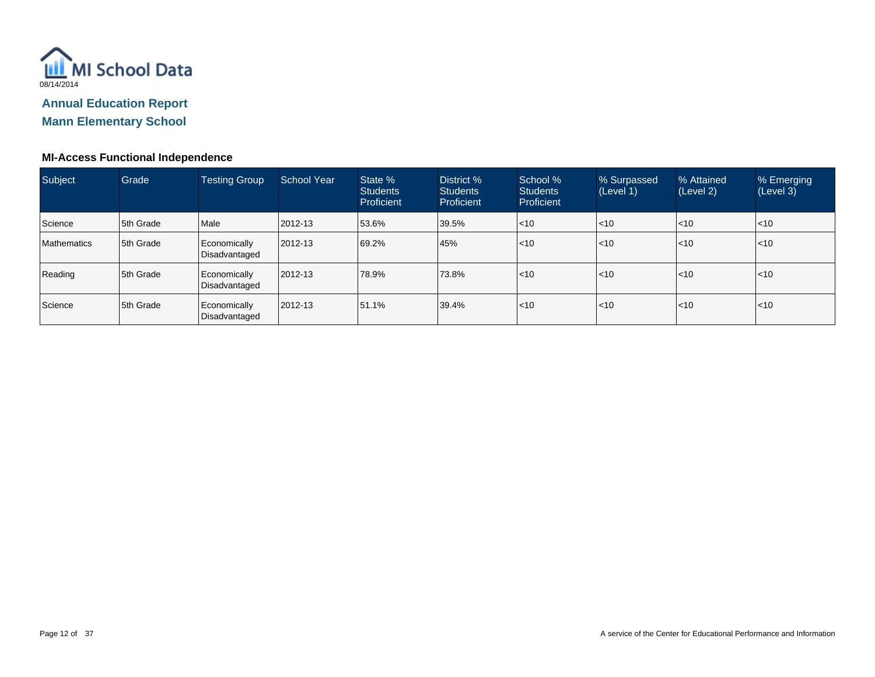

#### **MI-Access Functional Independence**

| Subject            | Grade     | <b>Testing Group</b>          | School Year | State %<br><b>Students</b><br>Proficient | District %<br><b>Students</b><br><b>Proficient</b> | School %<br><b>Students</b><br>Proficient | % Surpassed<br>(Level 1) | % Attained<br>(Level 2) | % Emerging<br>(Level 3) |
|--------------------|-----------|-------------------------------|-------------|------------------------------------------|----------------------------------------------------|-------------------------------------------|--------------------------|-------------------------|-------------------------|
| Science            | 5th Grade | Male                          | 2012-13     | 53.6%                                    | 39.5%                                              | < 10                                      | $\leq 10$                | $ $ < 10                | $\leq 10$               |
| <b>Mathematics</b> | 5th Grade | Economically<br>Disadvantaged | 2012-13     | 69.2%                                    | 45%                                                | < 10                                      | $\leq 10$                | l<10                    | $\leq 10$               |
| Reading            | 5th Grade | Economically<br>Disadvantaged | 2012-13     | 78.9%                                    | 73.8%                                              | < 10                                      | $\leq 10$                | l<10                    | < 10                    |
| Science            | 5th Grade | Economically<br>Disadvantaged | 2012-13     | 51.1%                                    | 39.4%                                              | < 10                                      | $\leq 10$                | $\mathsf{I}$ <10        | $ $ < 10                |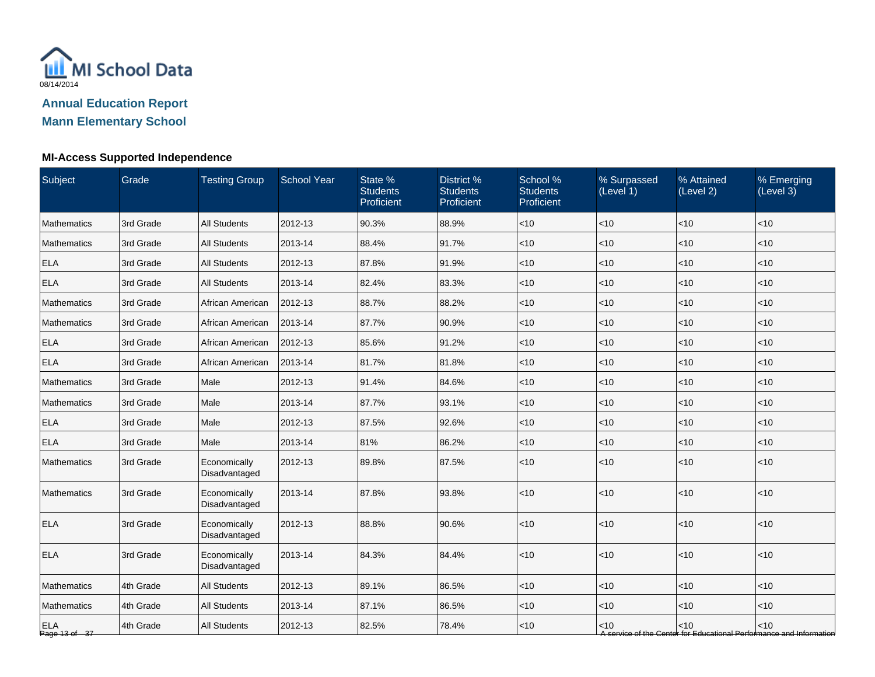

| Subject                     | Grade     | <b>Testing Group</b>          | <b>School Year</b> | State %<br><b>Students</b><br>Proficient | District %<br><b>Students</b><br>Proficient | School %<br><b>Students</b><br>Proficient | % Surpassed<br>(Level 1) | % Attained<br>(Level 2) | % Emerging<br>(Level 3)                                                       |
|-----------------------------|-----------|-------------------------------|--------------------|------------------------------------------|---------------------------------------------|-------------------------------------------|--------------------------|-------------------------|-------------------------------------------------------------------------------|
| Mathematics                 | 3rd Grade | <b>All Students</b>           | 2012-13            | 90.3%                                    | 88.9%                                       | < 10                                      | <10                      | <10                     | < 10                                                                          |
| Mathematics                 | 3rd Grade | <b>All Students</b>           | 2013-14            | 88.4%                                    | 91.7%                                       | $<$ 10                                    | $<$ 10                   | $<$ 10                  | $<$ 10                                                                        |
| <b>ELA</b>                  | 3rd Grade | <b>All Students</b>           | 2012-13            | 87.8%                                    | 91.9%                                       | $<$ 10                                    | < 10                     | < 10                    | $<$ 10                                                                        |
| <b>ELA</b>                  | 3rd Grade | <b>All Students</b>           | 2013-14            | 82.4%                                    | 83.3%                                       | $<$ 10                                    | <10                      | <10                     | $<$ 10                                                                        |
| Mathematics                 | 3rd Grade | African American              | 2012-13            | 88.7%                                    | 88.2%                                       | $<$ 10                                    | < 10                     | < 10                    | $<$ 10                                                                        |
| Mathematics                 | 3rd Grade | African American              | 2013-14            | 87.7%                                    | 90.9%                                       | $<$ 10                                    | <10                      | < 10                    | $<$ 10                                                                        |
| <b>ELA</b>                  | 3rd Grade | African American              | 2012-13            | 85.6%                                    | 91.2%                                       | $<$ 10                                    | <10                      | < 10                    | < 10                                                                          |
| <b>ELA</b>                  | 3rd Grade | African American              | 2013-14            | 81.7%                                    | 81.8%                                       | $<$ 10                                    | <10                      | <10                     | < 10                                                                          |
| Mathematics                 | 3rd Grade | Male                          | 2012-13            | 91.4%                                    | 84.6%                                       | $<$ 10                                    | <10                      | < 10                    | < 10                                                                          |
| Mathematics                 | 3rd Grade | Male                          | 2013-14            | 87.7%                                    | 93.1%                                       | $<$ 10                                    | $<$ 10                   | <10                     | $<$ 10                                                                        |
| <b>ELA</b>                  | 3rd Grade | Male                          | 2012-13            | 87.5%                                    | 92.6%                                       | $<$ 10                                    | $<$ 10                   | < 10                    | $<$ 10                                                                        |
| <b>ELA</b>                  | 3rd Grade | Male                          | 2013-14            | 81%                                      | 86.2%                                       | $<$ 10                                    | < 10                     | < 10                    | < 10                                                                          |
| <b>Mathematics</b>          | 3rd Grade | Economically<br>Disadvantaged | 2012-13            | 89.8%                                    | 87.5%                                       | $<$ 10                                    | <10                      | <10                     | < 10                                                                          |
| Mathematics                 | 3rd Grade | Economically<br>Disadvantaged | 2013-14            | 87.8%                                    | 93.8%                                       | $<10$                                     | <10                      | <10                     | ~10                                                                           |
| <b>ELA</b>                  | 3rd Grade | Economically<br>Disadvantaged | 2012-13            | 88.8%                                    | 90.6%                                       | < 10                                      | < 10                     | <10                     | < 10                                                                          |
| <b>ELA</b>                  | 3rd Grade | Economically<br>Disadvantaged | 2013-14            | 84.3%                                    | 84.4%                                       | $<$ 10                                    | < 10                     | < 10                    | < 10                                                                          |
| Mathematics                 | 4th Grade | <b>All Students</b>           | 2012-13            | 89.1%                                    | 86.5%                                       | <10                                       | $<$ 10                   | <10                     | < 10                                                                          |
| Mathematics                 | 4th Grade | <b>All Students</b>           | 2013-14            | 87.1%                                    | 86.5%                                       | $<$ 10                                    | $<$ 10                   | < 10                    | < 10                                                                          |
| <b>ELA</b><br>Page 13 of 37 | 4th Grade | <b>All Students</b>           | 2012-13            | 82.5%                                    | 78.4%                                       | $<$ 10                                    | $<$ 10                   | < 10                    | $<$ 10<br>A service of the Center for Educational Performance and Information |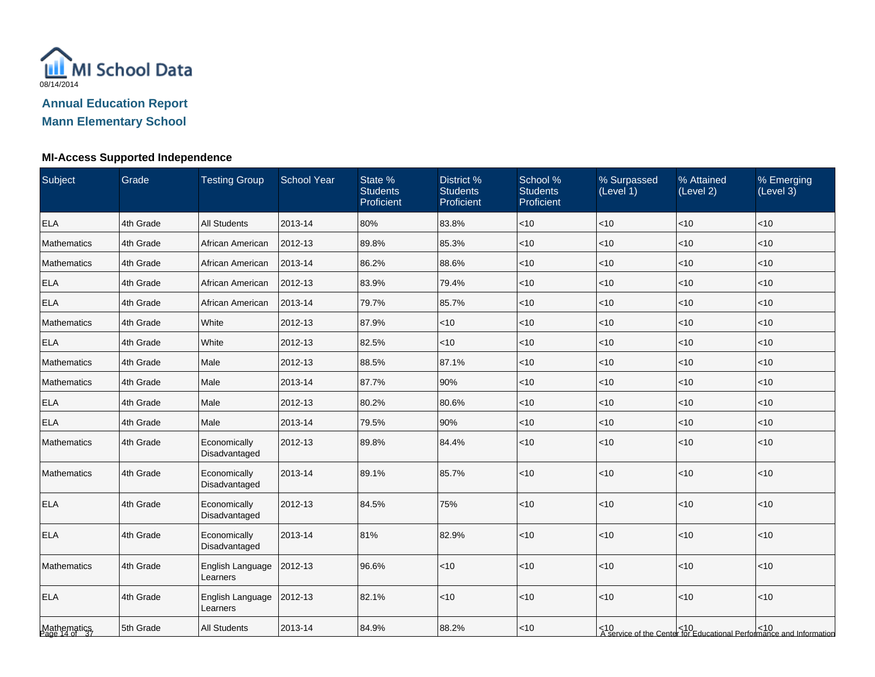

| Subject                      | Grade     | <b>Testing Group</b>          | <b>School Year</b> | State %<br><b>Students</b><br>Proficient | District %<br><b>Students</b><br>Proficient | School %<br><b>Students</b><br>Proficient | % Surpassed<br>(Level 1) | % Attained<br>(Level 2) | % Emerging<br>(Level 3)                                                      |
|------------------------------|-----------|-------------------------------|--------------------|------------------------------------------|---------------------------------------------|-------------------------------------------|--------------------------|-------------------------|------------------------------------------------------------------------------|
| <b>ELA</b>                   | 4th Grade | <b>All Students</b>           | 2013-14            | 80%                                      | 83.8%                                       | $<$ 10                                    | $<10$                    | $<10$                   | <10                                                                          |
| Mathematics                  | 4th Grade | African American              | 2012-13            | 89.8%                                    | 85.3%                                       | < 10                                      | $<10$                    | $<10$                   | <10                                                                          |
| <b>Mathematics</b>           | 4th Grade | African American              | 2013-14            | 86.2%                                    | 88.6%                                       | < 10                                      | <10                      | < 10                    | $<$ 10                                                                       |
| <b>ELA</b>                   | 4th Grade | African American              | 2012-13            | 83.9%                                    | 79.4%                                       | $ $ < 10                                  | <10                      | <10                     | < 10                                                                         |
| <b>ELA</b>                   | 4th Grade | African American              | 2013-14            | 79.7%                                    | 85.7%                                       | < 10                                      | $<$ 10                   | < 10                    | $<$ 10                                                                       |
| Mathematics                  | 4th Grade | <b>White</b>                  | 2012-13            | 87.9%                                    | $<$ 10                                      | $ $ < 10                                  | <10                      | < 10                    | $<$ 10                                                                       |
| <b>ELA</b>                   | 4th Grade | White                         | 2012-13            | 82.5%                                    | $<$ 10                                      | $ $ < 10                                  | <10                      | < 10                    | < 10                                                                         |
| Mathematics                  | 4th Grade | Male                          | 2012-13            | 88.5%                                    | 87.1%                                       | < 10                                      | <10                      | < 10                    | $<10$                                                                        |
| Mathematics                  | 4th Grade | Male                          | 2013-14            | 87.7%                                    | 90%                                         | < 10                                      | <10                      | < 10                    | < 10                                                                         |
| <b>ELA</b>                   | 4th Grade | Male                          | 2012-13            | 80.2%                                    | 80.6%                                       | $ $ < 10                                  | <10                      | < 10                    | $<$ 10                                                                       |
| <b>ELA</b>                   | 4th Grade | Male                          | 2013-14            | 79.5%                                    | 90%                                         | $ $ < 10                                  | $<$ 10                   | < 10                    | $<$ 10                                                                       |
| Mathematics                  | 4th Grade | Economically<br>Disadvantaged | 2012-13            | 89.8%                                    | 84.4%                                       | < 10                                      | $<10$                    | < 10                    | <10                                                                          |
| Mathematics                  | 4th Grade | Economically<br>Disadvantaged | 2013-14            | 89.1%                                    | 85.7%                                       | < 10                                      | $<10$                    | $<10$                   | $<$ 10                                                                       |
| <b>ELA</b>                   | 4th Grade | Economically<br>Disadvantaged | 2012-13            | 84.5%                                    | 75%                                         | < 10                                      | <10                      | < 10                    | <10                                                                          |
| <b>ELA</b>                   | 4th Grade | Economically<br>Disadvantaged | 2013-14            | 81%                                      | 82.9%                                       | $ $ < 10                                  | $<10$                    | < 10                    | $<$ 10                                                                       |
| Mathematics                  | 4th Grade | English Language<br>Learners  | 2012-13            | 96.6%                                    | $<$ 10                                      | $ $ < 10                                  | < 10                     | < 10                    | $<10$                                                                        |
| <b>ELA</b>                   | 4th Grade | English Language<br>Learners  | 2012-13            | 82.1%                                    | $<$ 10                                      | $ $ < 10                                  | $<10$                    | < 10                    | < 10                                                                         |
| Mathematics<br>Page 14 of 37 | 5th Grade | <b>All Students</b>           | 2013-14            | 84.9%                                    | 88.2%                                       | $ $ < 10                                  |                          |                         | <10<br>  A service of the Center for Educational Performance and Information |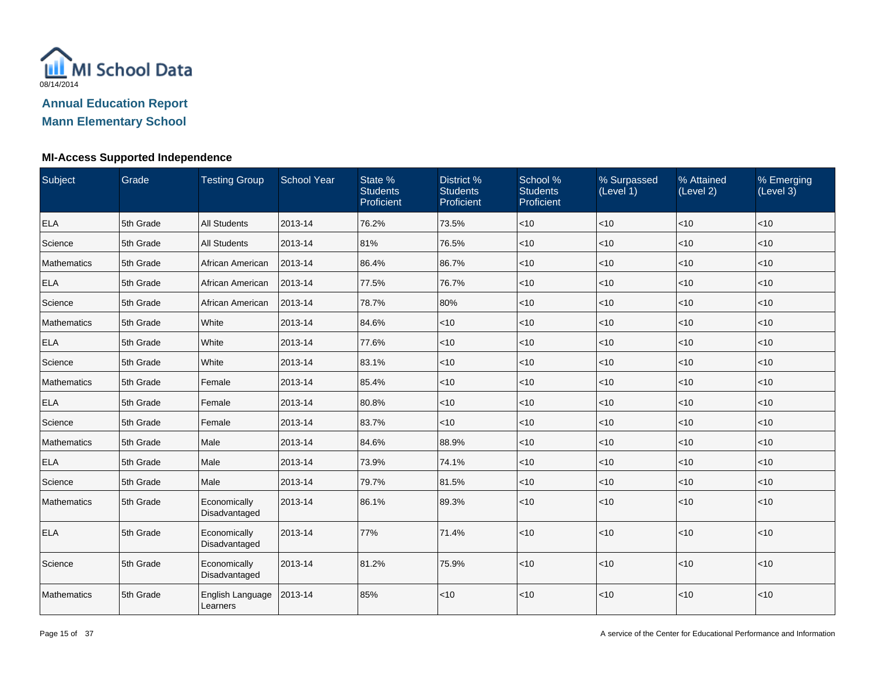

| Subject     | Grade     | <b>Testing Group</b>          | <b>School Year</b> | State %<br><b>Students</b><br>Proficient | District %<br><b>Students</b><br>Proficient | School %<br><b>Students</b><br>Proficient | % Surpassed<br>(Level 1) | % Attained<br>(Level 2) | % Emerging<br>(Level 3) |
|-------------|-----------|-------------------------------|--------------------|------------------------------------------|---------------------------------------------|-------------------------------------------|--------------------------|-------------------------|-------------------------|
| <b>ELA</b>  | 5th Grade | <b>All Students</b>           | 2013-14            | 76.2%                                    | 73.5%                                       | $ $ < 10                                  | $<10$                    | $<10$                   | <10                     |
| Science     | 5th Grade | <b>All Students</b>           | 2013-14            | 81%                                      | 76.5%                                       | $<$ 10                                    | $<$ 10                   | < 10                    | $<$ 10                  |
| Mathematics | 5th Grade | African American              | 2013-14            | 86.4%                                    | 86.7%                                       | < 10                                      | <10                      | $\vert$ < 10            | < 10                    |
| <b>ELA</b>  | 5th Grade | African American              | 2013-14            | 77.5%                                    | 76.7%                                       | < 10                                      | $<$ 10                   | $<$ 10                  | $<$ 10                  |
| Science     | 5th Grade | African American              | 2013-14            | 78.7%                                    | 80%                                         | $ $ < 10                                  | <10                      | $<$ 10                  | $<$ 10                  |
| Mathematics | 5th Grade | White                         | 2013-14            | 84.6%                                    | $<$ 10                                      | $<$ 10                                    | <10                      | $\vert$ < 10            | < 10                    |
| <b>ELA</b>  | 5th Grade | White                         | 2013-14            | 77.6%                                    | $<$ 10                                      | < 10                                      | < 10                     | $\vert$ < 10            | $<$ 10                  |
| Science     | 5th Grade | White                         | 2013-14            | 83.1%                                    | $<$ 10                                      | $ $ < 10                                  | $<$ 10                   | $<$ 10                  | $<$ 10                  |
| Mathematics | 5th Grade | Female                        | 2013-14            | 85.4%                                    | $<$ 10                                      | < 10                                      | <10                      | $\vert$ < 10            | < 10                    |
| <b>ELA</b>  | 5th Grade | Female                        | 2013-14            | 80.8%                                    | $<$ 10                                      | < 10                                      | <10                      | $\vert$ < 10            | $<$ 10                  |
| Science     | 5th Grade | Female                        | 2013-14            | 83.7%                                    | $<$ 10                                      | $<$ 10                                    | <10                      | $<$ 10                  | $<$ 10                  |
| Mathematics | 5th Grade | Male                          | 2013-14            | 84.6%                                    | 88.9%                                       | < 10                                      | <10                      | $\vert$ < 10            | < 10                    |
| <b>ELA</b>  | 5th Grade | Male                          | 2013-14            | 73.9%                                    | 74.1%                                       | < 10                                      | $<$ 10                   | $<$ 10                  | $<$ 10                  |
| Science     | 5th Grade | Male                          | 2013-14            | 79.7%                                    | 81.5%                                       | $ $ < 10                                  | <10                      | $<$ 10                  | $<$ 10                  |
| Mathematics | 5th Grade | Economically<br>Disadvantaged | 2013-14            | 86.1%                                    | 89.3%                                       | $<$ 10                                    | <10                      | $\vert$ < 10            | < 10                    |
| <b>ELA</b>  | 5th Grade | Economically<br>Disadvantaged | 2013-14            | 77%                                      | 71.4%                                       | < 10                                      | <10                      | < 10                    | <10                     |
| Science     | 5th Grade | Economically<br>Disadvantaged | 2013-14            | 81.2%                                    | 75.9%                                       | $<10$                                     | $<10$                    | $ $ < 10                | < 10                    |
| Mathematics | 5th Grade | English Language<br>Learners  | 2013-14            | 85%                                      | $<$ 10                                      | $ $ < 10                                  | < 10                     | $\vert$ < 10            | $<10$                   |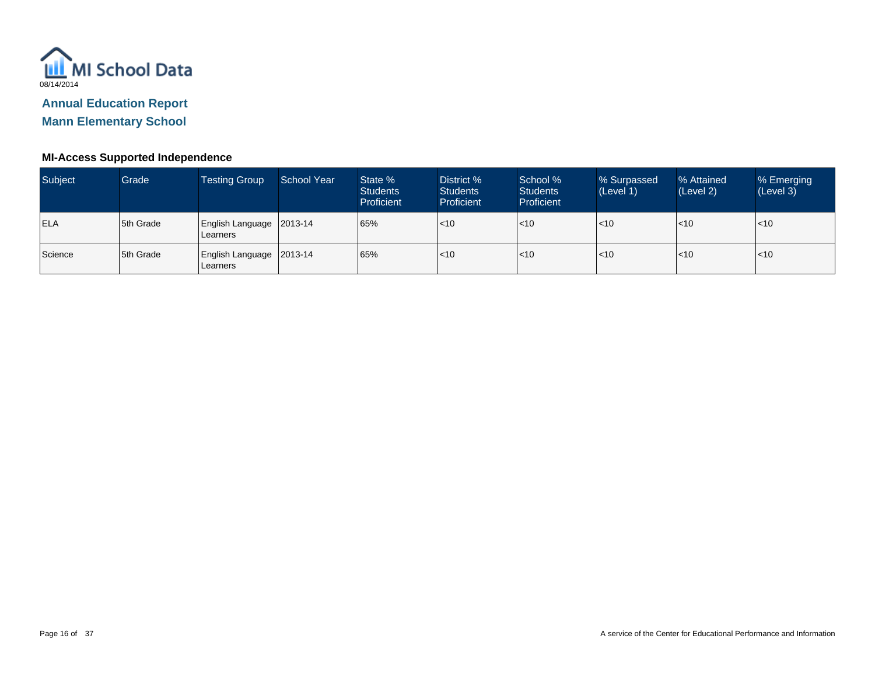

**Mann Elementary School**

| Subject    | Grade     | <b>Testing Group</b>                   | School Year | State %<br><b>Students</b><br>Proficient | District %<br><b>Students</b><br>Proficient | School %<br><b>Students</b><br>Proficient | % Surpassed<br>(Level 1) | % Attained<br>(Level 2) | % Emerging<br>(Level 3) |
|------------|-----------|----------------------------------------|-------------|------------------------------------------|---------------------------------------------|-------------------------------------------|--------------------------|-------------------------|-------------------------|
| <b>ELA</b> | 5th Grade | English Language   2013-14<br>Learners |             | 65%                                      | $\mathsf{I}$ <10                            | $ $ < 10                                  | < 10                     | $\mathsf{I}$ <10        | $ $ < 10                |
| Science    | 5th Grade | English Language   2013-14<br>Learners |             | 65%                                      | $\mathsf{I}$ <10                            | $ $ < 10                                  | < 10                     | $\mathsf{I}$ <10        | $ $ < 10                |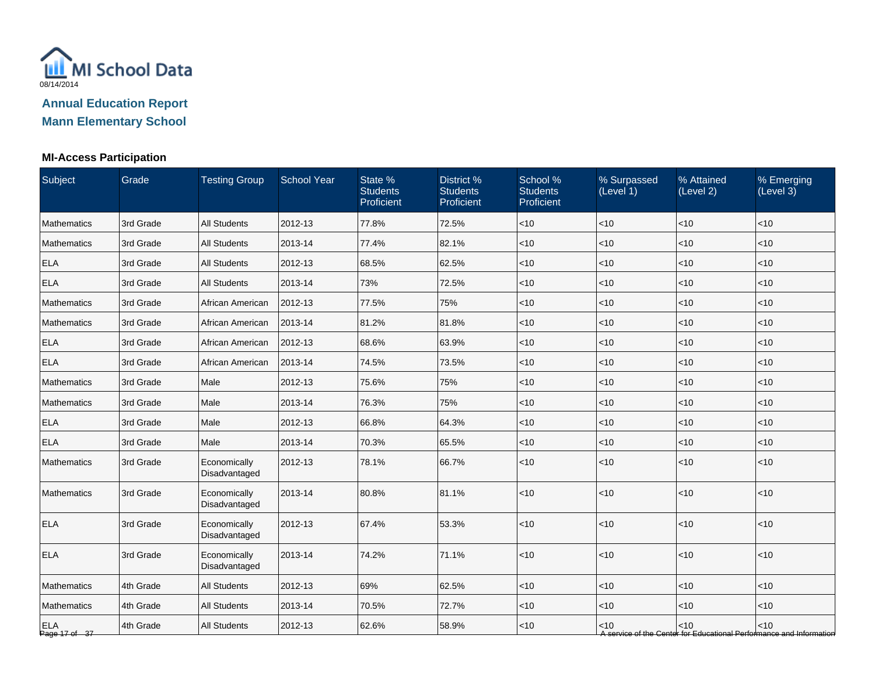

### **MI-Access Participation**

| Subject                     | Grade     | <b>Testing Group</b>          | <b>School Year</b> | State %<br><b>Students</b><br>Proficient | District %<br><b>Students</b><br>Proficient | School %<br><b>Students</b><br>Proficient | % Surpassed<br>(Level 1) | % Attained<br>(Level 2) | % Emerging<br>(Level 3)                                                       |
|-----------------------------|-----------|-------------------------------|--------------------|------------------------------------------|---------------------------------------------|-------------------------------------------|--------------------------|-------------------------|-------------------------------------------------------------------------------|
| Mathematics                 | 3rd Grade | <b>All Students</b>           | 2012-13            | 77.8%                                    | 72.5%                                       | $<$ 10                                    | < 10                     | <10                     | < 10                                                                          |
| Mathematics                 | 3rd Grade | <b>All Students</b>           | 2013-14            | 77.4%                                    | 82.1%                                       | $<$ 10                                    | <10                      | <10                     | <10                                                                           |
| <b>ELA</b>                  | 3rd Grade | <b>All Students</b>           | 2012-13            | 68.5%                                    | 62.5%                                       | $<$ 10                                    | < 10                     | < 10                    | < 10                                                                          |
| <b>ELA</b>                  | 3rd Grade | <b>All Students</b>           | 2013-14            | 73%                                      | 72.5%                                       | $<$ 10                                    | < 10                     | < 10                    | < 10                                                                          |
| Mathematics                 | 3rd Grade | African American              | 2012-13            | 77.5%                                    | 75%                                         | $<$ 10                                    | $<$ 10                   | $<$ 10                  | $<$ 10                                                                        |
| Mathematics                 | 3rd Grade | African American              | 2013-14            | 81.2%                                    | 81.8%                                       | $<$ 10                                    | <10                      | < 10                    | $<$ 10                                                                        |
| <b>ELA</b>                  | 3rd Grade | African American              | 2012-13            | 68.6%                                    | 63.9%                                       | $<$ 10                                    | <10                      | <10                     | < 10                                                                          |
| <b>ELA</b>                  | 3rd Grade | African American              | 2013-14            | 74.5%                                    | 73.5%                                       | $<$ 10                                    | <10                      | < 10                    | $<10$                                                                         |
| Mathematics                 | 3rd Grade | Male                          | 2012-13            | 75.6%                                    | 75%                                         | $<$ 10                                    | < 10                     | < 10                    | $<$ 10                                                                        |
| Mathematics                 | 3rd Grade | Male                          | 2013-14            | 76.3%                                    | 75%                                         | $<$ 10                                    | <10                      | <10                     | $<$ 10                                                                        |
| <b>ELA</b>                  | 3rd Grade | Male                          | 2012-13            | 66.8%                                    | 64.3%                                       | $<$ 10                                    | $<$ 10                   | < 10                    | $<$ 10                                                                        |
| <b>ELA</b>                  | 3rd Grade | Male                          | 2013-14            | 70.3%                                    | 65.5%                                       | $<$ 10                                    | <10                      | <10                     | $<$ 10                                                                        |
| Mathematics                 | 3rd Grade | Economically<br>Disadvantaged | 2012-13            | 78.1%                                    | 66.7%                                       | $<$ 10                                    | <10                      | <10                     | < 10                                                                          |
| Mathematics                 | 3rd Grade | Economically<br>Disadvantaged | 2013-14            | 80.8%                                    | 81.1%                                       | $<10$                                     | < 10                     | < 10                    | < 10                                                                          |
| <b>ELA</b>                  | 3rd Grade | Economically<br>Disadvantaged | 2012-13            | 67.4%                                    | 53.3%                                       | $<10$                                     | <10                      | <10                     | < 10                                                                          |
| <b>ELA</b>                  | 3rd Grade | Economically<br>Disadvantaged | 2013-14            | 74.2%                                    | 71.1%                                       | <10                                       | <10                      | <10                     | $<10$                                                                         |
| Mathematics                 | 4th Grade | <b>All Students</b>           | 2012-13            | 69%                                      | 62.5%                                       | $<$ 10                                    | $<$ 10                   | < 10                    | < 10                                                                          |
| Mathematics                 | 4th Grade | <b>All Students</b>           | 2013-14            | 70.5%                                    | 72.7%                                       | $<$ 10                                    | < 10                     | < 10                    | < 10                                                                          |
| <b>ELA</b><br>Page 17 of 37 | 4th Grade | <b>All Students</b>           | 2012-13            | 62.6%                                    | 58.9%                                       | $<$ 10                                    | $<$ 10                   | < 10                    | $<$ 10<br>A service of the Center for Educational Performance and Information |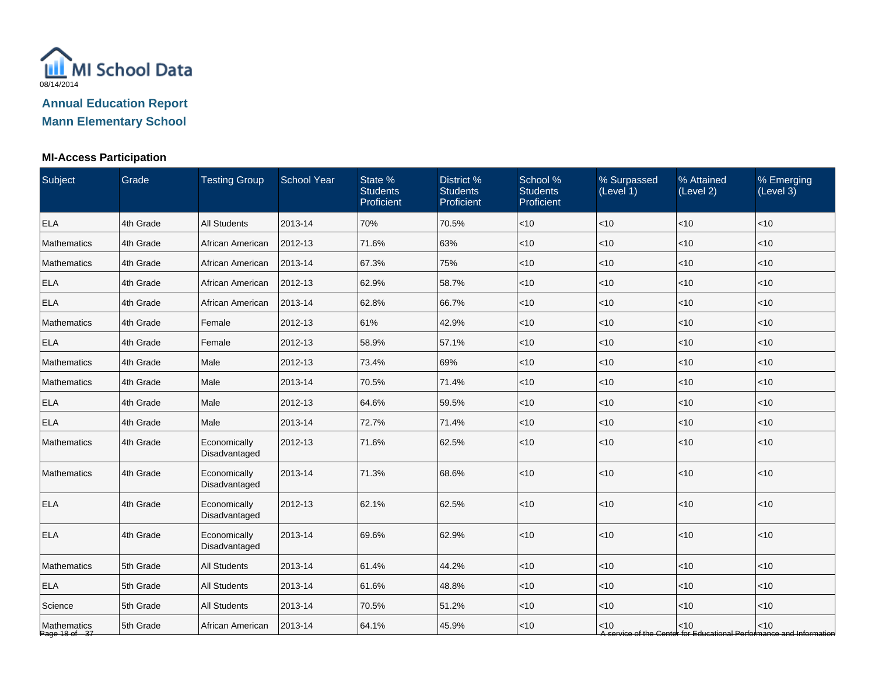

### **MI-Access Participation**

| Subject                      | Grade     | <b>Testing Group</b>          | <b>School Year</b> | State %<br><b>Students</b><br>Proficient | District %<br><b>Students</b><br>Proficient | School %<br><b>Students</b><br>Proficient | % Surpassed<br>(Level 1) | % Attained<br>(Level 2) | % Emerging<br>(Level 3)                                                       |
|------------------------------|-----------|-------------------------------|--------------------|------------------------------------------|---------------------------------------------|-------------------------------------------|--------------------------|-------------------------|-------------------------------------------------------------------------------|
| <b>ELA</b>                   | 4th Grade | <b>All Students</b>           | 2013-14            | 70%                                      | 70.5%                                       | $<$ 10                                    | $<$ 10                   | <10                     | < 10                                                                          |
| Mathematics                  | 4th Grade | African American              | 2012-13            | 71.6%                                    | 63%                                         | $<$ 10                                    | <10                      | < 10                    | $<$ 10                                                                        |
| Mathematics                  | 4th Grade | African American              | 2013-14            | 67.3%                                    | 75%                                         | $<$ 10                                    | <10                      | < 10                    | < 10                                                                          |
| <b>ELA</b>                   | 4th Grade | African American              | 2012-13            | 62.9%                                    | 58.7%                                       | $<$ 10                                    | < 10                     | < 10                    | < 10                                                                          |
| <b>ELA</b>                   | 4th Grade | African American              | 2013-14            | 62.8%                                    | 66.7%                                       | $<$ 10                                    | <10                      | <10                     | $<$ 10                                                                        |
| Mathematics                  | 4th Grade | Female                        | 2012-13            | 61%                                      | 42.9%                                       | $<$ 10                                    | $<$ 10                   | <10                     | < 10                                                                          |
| <b>ELA</b>                   | 4th Grade | Female                        | 2012-13            | 58.9%                                    | 57.1%                                       | $<$ 10                                    | < 10                     | < 10                    | $<$ 10                                                                        |
| Mathematics                  | 4th Grade | Male                          | 2012-13            | 73.4%                                    | 69%                                         | $<$ 10                                    | <10                      | < 10                    | < 10                                                                          |
| Mathematics                  | 4th Grade | Male                          | 2013-14            | 70.5%                                    | 71.4%                                       | $<$ 10                                    | <10                      | <10                     | < 10                                                                          |
| <b>ELA</b>                   | 4th Grade | Male                          | 2012-13            | 64.6%                                    | 59.5%                                       | $<$ 10                                    | < 10                     | < 10                    | < 10                                                                          |
| <b>ELA</b>                   | 4th Grade | Male                          | 2013-14            | 72.7%                                    | 71.4%                                       | $<$ 10                                    | <10                      | <10                     | $<$ 10                                                                        |
| Mathematics                  | 4th Grade | Economically<br>Disadvantaged | 2012-13            | 71.6%                                    | 62.5%                                       | $<$ 10                                    | < 10                     | < 10                    | < 10                                                                          |
| Mathematics                  | 4th Grade | Economically<br>Disadvantaged | 2013-14            | 71.3%                                    | 68.6%                                       | $<$ 10                                    | <10                      | <10                     | $<10$                                                                         |
| <b>ELA</b>                   | 4th Grade | Economically<br>Disadvantaged | 2012-13            | 62.1%                                    | 62.5%                                       | $<$ 10                                    | < 10                     | < 10                    | < 10                                                                          |
| <b>ELA</b>                   | 4th Grade | Economically<br>Disadvantaged | 2013-14            | 69.6%                                    | 62.9%                                       | < 10                                      | < 10                     | < 10                    | $<$ 10                                                                        |
| Mathematics                  | 5th Grade | <b>All Students</b>           | 2013-14            | 61.4%                                    | 44.2%                                       | $<$ 10                                    | <10                      | <10                     | < 10                                                                          |
| <b>ELA</b>                   | 5th Grade | All Students                  | 2013-14            | 61.6%                                    | 48.8%                                       | $<$ 10                                    | $<$ 10                   | <10                     | $<$ 10                                                                        |
| Science                      | 5th Grade | <b>All Students</b>           | 2013-14            | 70.5%                                    | 51.2%                                       | $<$ 10                                    | $<$ 10                   | < 10                    | < 10                                                                          |
| Mathematics<br>Page 18 of 37 | 5th Grade | African American              | 2013-14            | 64.1%                                    | 45.9%                                       | $<$ 10                                    | $<$ 10                   | < 10                    | $<$ 10<br>A service of the Center for Educational Performance and Information |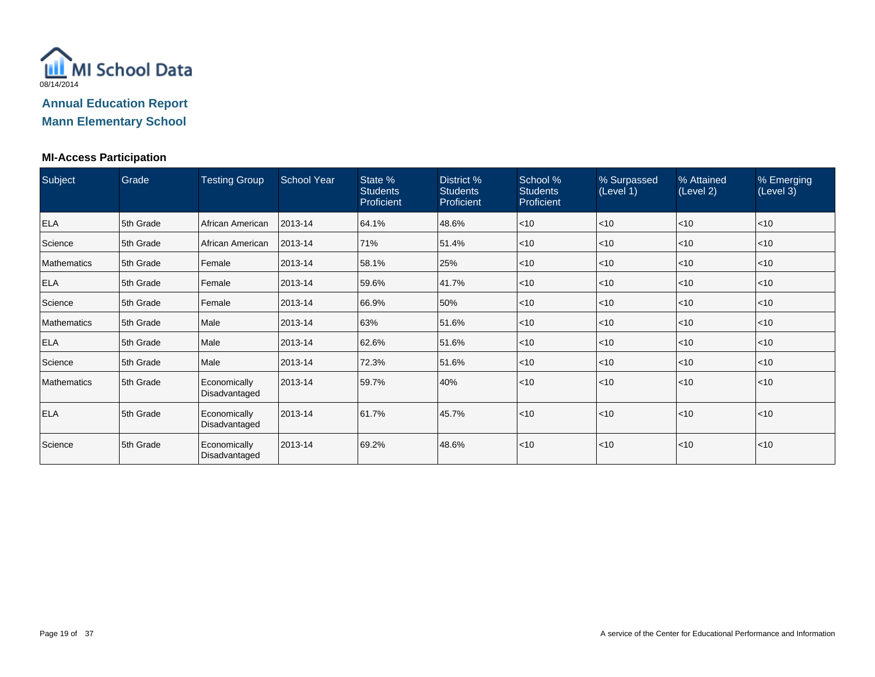

#### **MI-Access Participation**

| Subject            | Grade     | <b>Testing Group</b>          | <b>School Year</b> | State %<br><b>Students</b><br>Proficient | District %<br><b>Students</b><br><b>Proficient</b> | School %<br><b>Students</b><br>Proficient | % Surpassed<br>(Level 1) | % Attained<br>(Level 2) | % Emerging<br>(Level 3) |
|--------------------|-----------|-------------------------------|--------------------|------------------------------------------|----------------------------------------------------|-------------------------------------------|--------------------------|-------------------------|-------------------------|
| <b>ELA</b>         | 5th Grade | African American              | 2013-14            | 64.1%                                    | 48.6%                                              | $\leq 10$                                 | $<$ 10                   | < 10                    | $ $ < 10                |
| Science            | 5th Grade | African American              | 2013-14            | 71%                                      | 51.4%                                              | $\leq 10$                                 | $<$ 10                   | < 10                    | ~10                     |
| <b>Mathematics</b> | 5th Grade | Female                        | 2013-14            | 58.1%                                    | 25%                                                | $\leq 10$                                 | $<$ 10                   | < 10                    | ~10                     |
| <b>ELA</b>         | 5th Grade | Female                        | 2013-14            | 59.6%                                    | 41.7%                                              | $\leq 10$                                 | $<$ 10                   | < 10                    | ~10                     |
| Science            | 5th Grade | Female                        | 2013-14            | 66.9%                                    | 50%                                                | $\leq 10$                                 | $<$ 10                   | < 10                    | ~10                     |
| <b>Mathematics</b> | 5th Grade | Male                          | 2013-14            | 63%                                      | 51.6%                                              | $\leq 10$                                 | $<$ 10                   | < 10                    | $ $ < 10                |
| <b>ELA</b>         | 5th Grade | Male                          | 2013-14            | 62.6%                                    | 51.6%                                              | $\leq 10$                                 | $<$ 10                   | < 10                    | $ $ < 10                |
| Science            | 5th Grade | Male                          | 2013-14            | 72.3%                                    | 51.6%                                              | $ $ < 10                                  | $<$ 10                   | < 10                    | $ $ < 10                |
| <b>Mathematics</b> | 5th Grade | Economically<br>Disadvantaged | 2013-14            | 59.7%                                    | 40%                                                | $\leq 10$                                 | < 10                     | < 10                    | $<$ 10                  |
| <b>ELA</b>         | 5th Grade | Economically<br>Disadvantaged | 2013-14            | 61.7%                                    | 45.7%                                              | $\leq 10$                                 | < 10                     | < 10                    | $<$ 10                  |
| Science            | 5th Grade | Economically<br>Disadvantaged | 2013-14            | 69.2%                                    | 48.6%                                              | $\leq 10$                                 | < 10                     | < 10                    | < 10                    |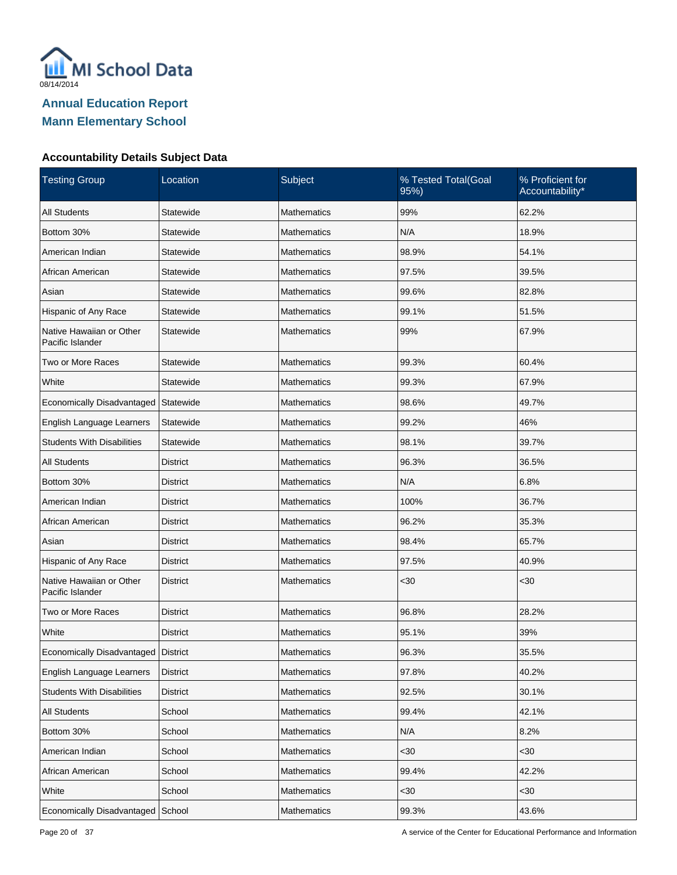

| <b>Testing Group</b>                         | Location        | Subject            | % Tested Total(Goal<br>95%) | % Proficient for<br>Accountability* |
|----------------------------------------------|-----------------|--------------------|-----------------------------|-------------------------------------|
| <b>All Students</b>                          | Statewide       | <b>Mathematics</b> | 99%                         | 62.2%                               |
| Bottom 30%                                   | Statewide       | <b>Mathematics</b> | N/A                         | 18.9%                               |
| American Indian                              | Statewide       | Mathematics        | 98.9%                       | 54.1%                               |
| African American                             | Statewide       | Mathematics        | 97.5%                       | 39.5%                               |
| Asian                                        | Statewide       | <b>Mathematics</b> | 99.6%                       | 82.8%                               |
| Hispanic of Any Race                         | Statewide       | Mathematics        | 99.1%                       | 51.5%                               |
| Native Hawaiian or Other<br>Pacific Islander | Statewide       | Mathematics        | 99%                         | 67.9%                               |
| Two or More Races                            | Statewide       | <b>Mathematics</b> | 99.3%                       | 60.4%                               |
| White                                        | Statewide       | <b>Mathematics</b> | 99.3%                       | 67.9%                               |
| Economically Disadvantaged                   | Statewide       | <b>Mathematics</b> | 98.6%                       | 49.7%                               |
| English Language Learners                    | Statewide       | <b>Mathematics</b> | 99.2%                       | 46%                                 |
| <b>Students With Disabilities</b>            | Statewide       | <b>Mathematics</b> | 98.1%                       | 39.7%                               |
| <b>All Students</b>                          | <b>District</b> | <b>Mathematics</b> | 96.3%                       | 36.5%                               |
| Bottom 30%                                   | <b>District</b> | <b>Mathematics</b> | N/A                         | 6.8%                                |
| American Indian                              | <b>District</b> | <b>Mathematics</b> | 100%                        | 36.7%                               |
| African American                             | <b>District</b> | <b>Mathematics</b> | 96.2%                       | 35.3%                               |
| Asian                                        | <b>District</b> | <b>Mathematics</b> | 98.4%                       | 65.7%                               |
| Hispanic of Any Race                         | <b>District</b> | <b>Mathematics</b> | 97.5%                       | 40.9%                               |
| Native Hawaiian or Other<br>Pacific Islander | <b>District</b> | <b>Mathematics</b> | <30                         | $30$                                |
| Two or More Races                            | <b>District</b> | <b>Mathematics</b> | 96.8%                       | 28.2%                               |
| White                                        | <b>District</b> | Mathematics        | 95.1%                       | 39%                                 |
| Economically Disadvantaged                   | District        | <b>Mathematics</b> | 96.3%                       | 35.5%                               |
| English Language Learners                    | <b>District</b> | Mathematics        | 97.8%                       | 40.2%                               |
| <b>Students With Disabilities</b>            | <b>District</b> | Mathematics        | 92.5%                       | 30.1%                               |
| All Students                                 | School          | Mathematics        | 99.4%                       | 42.1%                               |
| Bottom 30%                                   | School          | Mathematics        | N/A                         | 8.2%                                |
| American Indian                              | School          | Mathematics        | $30$                        | <30                                 |
| African American                             | School          | Mathematics        | 99.4%                       | 42.2%                               |
| White                                        | School          | Mathematics        | <30                         | $30$                                |
| Economically Disadvantaged                   | School          | Mathematics        | 99.3%                       | 43.6%                               |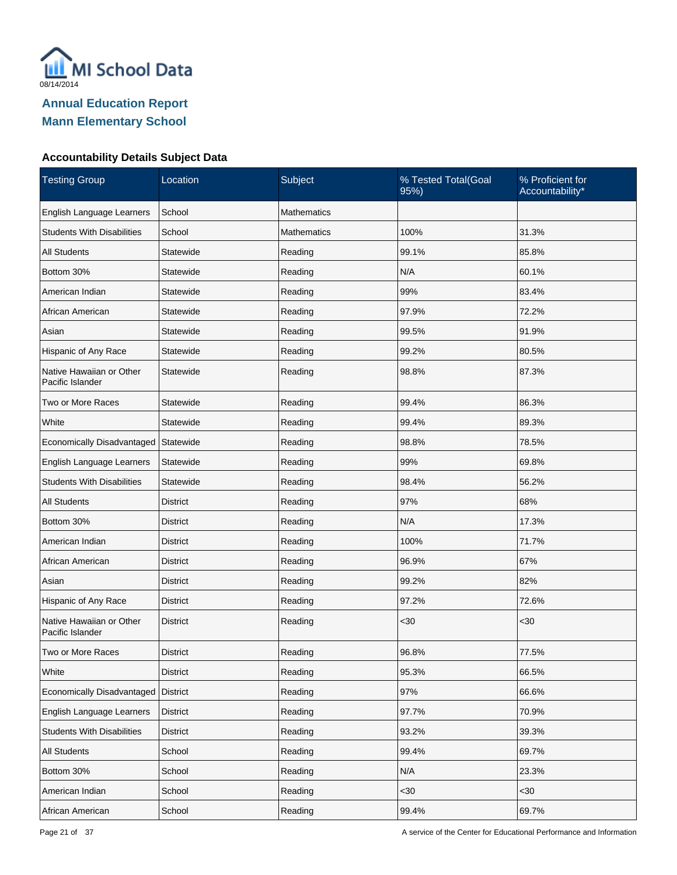

| <b>Testing Group</b>                         | Location        | Subject            | % Tested Total(Goal<br>95%) | % Proficient for<br>Accountability* |
|----------------------------------------------|-----------------|--------------------|-----------------------------|-------------------------------------|
| English Language Learners                    | School          | <b>Mathematics</b> |                             |                                     |
| <b>Students With Disabilities</b>            | School          | Mathematics        | 100%                        | 31.3%                               |
| <b>All Students</b>                          | Statewide       | Reading            | 99.1%                       | 85.8%                               |
| Bottom 30%                                   | Statewide       | Reading            | N/A                         | 60.1%                               |
| American Indian                              | Statewide       | Reading            | 99%                         | 83.4%                               |
| African American                             | Statewide       | Reading            | 97.9%                       | 72.2%                               |
| Asian                                        | Statewide       | Reading            | 99.5%                       | 91.9%                               |
| Hispanic of Any Race                         | Statewide       | Reading            | 99.2%                       | 80.5%                               |
| Native Hawaiian or Other<br>Pacific Islander | Statewide       | Reading            | 98.8%                       | 87.3%                               |
| Two or More Races                            | Statewide       | Reading            | 99.4%                       | 86.3%                               |
| White                                        | Statewide       | Reading            | 99.4%                       | 89.3%                               |
| Economically Disadvantaged                   | Statewide       | Reading            | 98.8%                       | 78.5%                               |
| English Language Learners                    | Statewide       | Reading            | 99%                         | 69.8%                               |
| <b>Students With Disabilities</b>            | Statewide       | Reading            | 98.4%                       | 56.2%                               |
| <b>All Students</b>                          | <b>District</b> | Reading            | 97%                         | 68%                                 |
| Bottom 30%                                   | District        | Reading            | N/A                         | 17.3%                               |
| American Indian                              | <b>District</b> | Reading            | 100%                        | 71.7%                               |
| African American                             | District        | Reading            | 96.9%                       | 67%                                 |
| Asian                                        | <b>District</b> | Reading            | 99.2%                       | 82%                                 |
| Hispanic of Any Race                         | District        | Reading            | 97.2%                       | 72.6%                               |
| Native Hawaiian or Other<br>Pacific Islander | <b>District</b> | Reading            | $30$                        | $30$                                |
| Two or More Races                            | <b>District</b> | Reading            | 96.8%                       | 77.5%                               |
| White                                        | <b>District</b> | Reading            | 95.3%                       | 66.5%                               |
| Economically Disadvantaged                   | <b>District</b> | Reading            | 97%                         | 66.6%                               |
| English Language Learners                    | <b>District</b> | Reading            | 97.7%                       | 70.9%                               |
| <b>Students With Disabilities</b>            | <b>District</b> | Reading            | 93.2%                       | 39.3%                               |
| All Students                                 | School          | Reading            | 99.4%                       | 69.7%                               |
| Bottom 30%                                   | School          | Reading            | N/A                         | 23.3%                               |
| American Indian                              | School          | Reading            | <30                         | $30$                                |
| African American                             | School          | Reading            | 99.4%                       | 69.7%                               |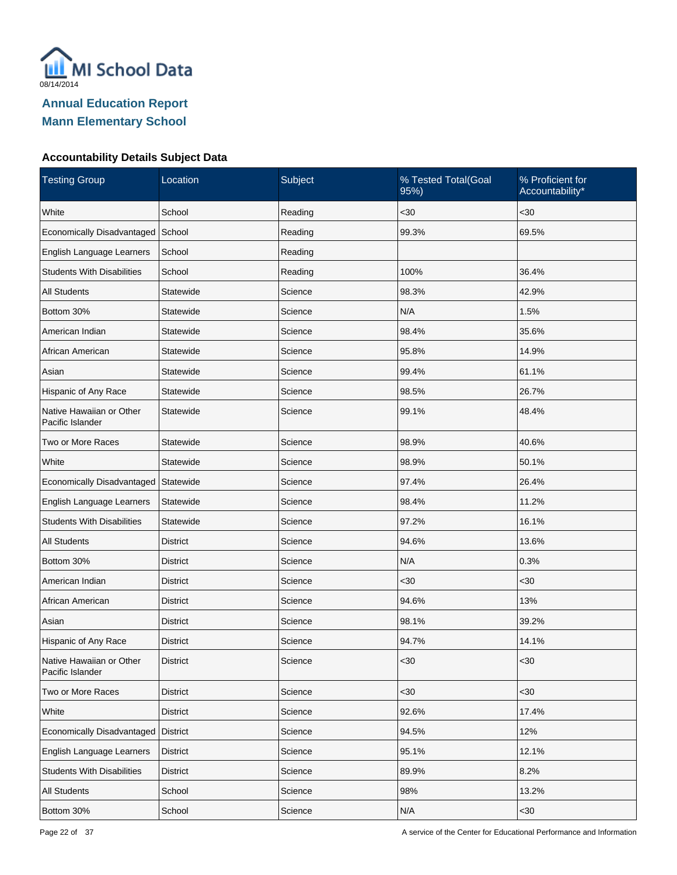

| <b>Testing Group</b>                         | Location        | Subject | % Tested Total(Goal<br>95%) | % Proficient for<br>Accountability* |
|----------------------------------------------|-----------------|---------|-----------------------------|-------------------------------------|
| White                                        | School          | Reading | $30$                        | $30$                                |
| Economically Disadvantaged                   | School          | Reading | 99.3%                       | 69.5%                               |
| English Language Learners                    | School          | Reading |                             |                                     |
| <b>Students With Disabilities</b>            | School          | Reading | 100%                        | 36.4%                               |
| <b>All Students</b>                          | Statewide       | Science | 98.3%                       | 42.9%                               |
| Bottom 30%                                   | Statewide       | Science | N/A                         | 1.5%                                |
| American Indian                              | Statewide       | Science | 98.4%                       | 35.6%                               |
| African American                             | Statewide       | Science | 95.8%                       | 14.9%                               |
| Asian                                        | Statewide       | Science | 99.4%                       | 61.1%                               |
| Hispanic of Any Race                         | Statewide       | Science | 98.5%                       | 26.7%                               |
| Native Hawaiian or Other<br>Pacific Islander | Statewide       | Science | 99.1%                       | 48.4%                               |
| Two or More Races                            | Statewide       | Science | 98.9%                       | 40.6%                               |
| White                                        | Statewide       | Science | 98.9%                       | 50.1%                               |
| Economically Disadvantaged                   | Statewide       | Science | 97.4%                       | 26.4%                               |
| English Language Learners                    | Statewide       | Science | 98.4%                       | 11.2%                               |
| <b>Students With Disabilities</b>            | Statewide       | Science | 97.2%                       | 16.1%                               |
| <b>All Students</b>                          | <b>District</b> | Science | 94.6%                       | 13.6%                               |
| Bottom 30%                                   | <b>District</b> | Science | N/A                         | 0.3%                                |
| American Indian                              | <b>District</b> | Science | $30$                        | <30                                 |
| African American                             | <b>District</b> | Science | 94.6%                       | 13%                                 |
| Asian                                        | <b>District</b> | Science | 98.1%                       | 39.2%                               |
| Hispanic of Any Race                         | District        | Science | 94.7%                       | 14.1%                               |
| Native Hawaiian or Other<br>Pacific Islander | <b>District</b> | Science | <30                         | $30$                                |
| Two or More Races                            | <b>District</b> | Science | <30                         | <30                                 |
| White                                        | <b>District</b> | Science | 92.6%                       | 17.4%                               |
| Economically Disadvantaged                   | District        | Science | 94.5%                       | 12%                                 |
| English Language Learners                    | <b>District</b> | Science | 95.1%                       | 12.1%                               |
| <b>Students With Disabilities</b>            | <b>District</b> | Science | 89.9%                       | 8.2%                                |
| All Students                                 | School          | Science | 98%                         | 13.2%                               |
| Bottom 30%                                   | School          | Science | N/A                         | $30$                                |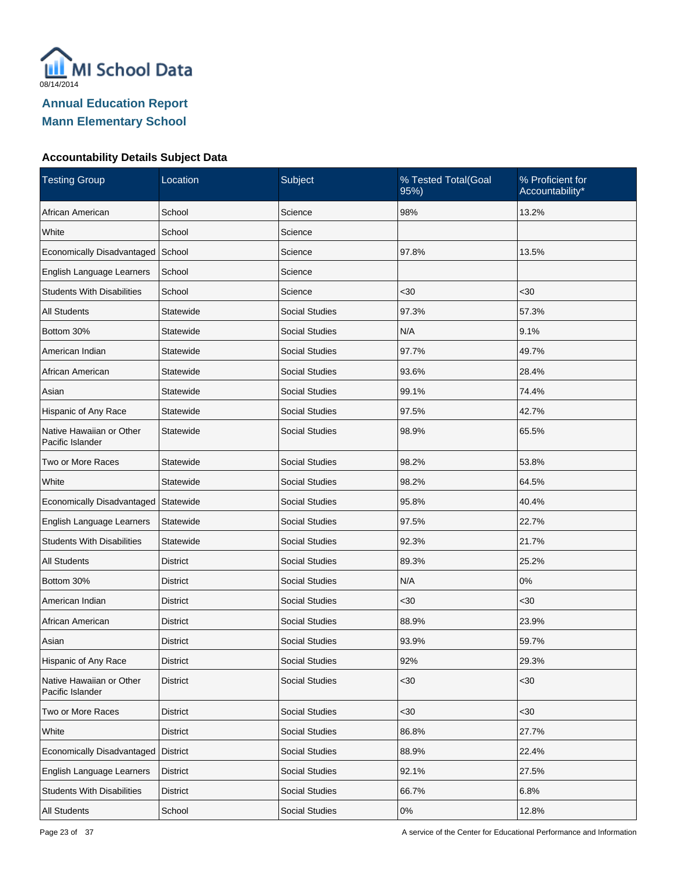

| <b>Testing Group</b>                         | Location        | Subject               | % Tested Total(Goal<br>95% | % Proficient for<br>Accountability* |
|----------------------------------------------|-----------------|-----------------------|----------------------------|-------------------------------------|
| African American                             | School          | Science               | 98%                        | 13.2%                               |
| White                                        | School          | Science               |                            |                                     |
| Economically Disadvantaged                   | School          | Science               | 97.8%                      | 13.5%                               |
| English Language Learners                    | School          | Science               |                            |                                     |
| <b>Students With Disabilities</b>            | School          | Science               | $30$                       | <30                                 |
| <b>All Students</b>                          | Statewide       | <b>Social Studies</b> | 97.3%                      | 57.3%                               |
| Bottom 30%                                   | Statewide       | <b>Social Studies</b> | N/A                        | 9.1%                                |
| American Indian                              | Statewide       | <b>Social Studies</b> | 97.7%                      | 49.7%                               |
| African American                             | Statewide       | <b>Social Studies</b> | 93.6%                      | 28.4%                               |
| Asian                                        | Statewide       | <b>Social Studies</b> | 99.1%                      | 74.4%                               |
| Hispanic of Any Race                         | Statewide       | <b>Social Studies</b> | 97.5%                      | 42.7%                               |
| Native Hawaiian or Other<br>Pacific Islander | Statewide       | <b>Social Studies</b> | 98.9%                      | 65.5%                               |
| Two or More Races                            | Statewide       | <b>Social Studies</b> | 98.2%                      | 53.8%                               |
| White                                        | Statewide       | <b>Social Studies</b> | 98.2%                      | 64.5%                               |
| Economically Disadvantaged                   | Statewide       | <b>Social Studies</b> | 95.8%                      | 40.4%                               |
| English Language Learners                    | Statewide       | <b>Social Studies</b> | 97.5%                      | 22.7%                               |
| <b>Students With Disabilities</b>            | Statewide       | <b>Social Studies</b> | 92.3%                      | 21.7%                               |
| All Students                                 | <b>District</b> | <b>Social Studies</b> | 89.3%                      | 25.2%                               |
| Bottom 30%                                   | <b>District</b> | <b>Social Studies</b> | N/A                        | 0%                                  |
| American Indian                              | District        | <b>Social Studies</b> | <30                        | <30                                 |
| African American                             | <b>District</b> | <b>Social Studies</b> | 88.9%                      | 23.9%                               |
| Asian                                        | <b>District</b> | <b>Social Studies</b> | 93.9%                      | 59.7%                               |
| Hispanic of Any Race                         | <b>District</b> | <b>Social Studies</b> | 92%                        | 29.3%                               |
| Native Hawaiian or Other<br>Pacific Islander | <b>District</b> | <b>Social Studies</b> | $30$                       | $30$                                |
| Two or More Races                            | <b>District</b> | <b>Social Studies</b> | $30$                       | <30                                 |
| White                                        | <b>District</b> | Social Studies        | 86.8%                      | 27.7%                               |
| Economically Disadvantaged                   | District        | Social Studies        | 88.9%                      | 22.4%                               |
| English Language Learners                    | <b>District</b> | Social Studies        | 92.1%                      | 27.5%                               |
| <b>Students With Disabilities</b>            | <b>District</b> | Social Studies        | 66.7%                      | 6.8%                                |
| <b>All Students</b>                          | School          | Social Studies        | $0\%$                      | 12.8%                               |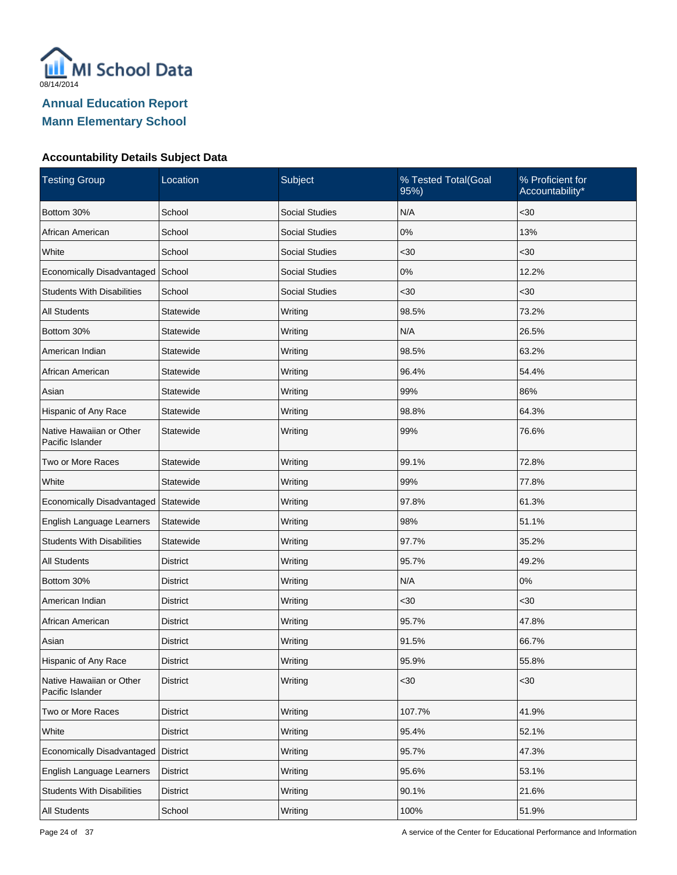

| <b>Testing Group</b>                         | Location        | Subject               | % Tested Total(Goal<br>95%) | % Proficient for<br>Accountability* |
|----------------------------------------------|-----------------|-----------------------|-----------------------------|-------------------------------------|
| Bottom 30%                                   | School          | <b>Social Studies</b> | N/A                         | $30$                                |
| African American                             | School          | <b>Social Studies</b> | 0%                          | 13%                                 |
| White                                        | School          | <b>Social Studies</b> | <30                         | $30$                                |
| Economically Disadvantaged                   | School          | <b>Social Studies</b> | $0\%$                       | 12.2%                               |
| <b>Students With Disabilities</b>            | School          | <b>Social Studies</b> | $30$                        | $30$                                |
| <b>All Students</b>                          | Statewide       | Writing               | 98.5%                       | 73.2%                               |
| Bottom 30%                                   | Statewide       | Writing               | N/A                         | 26.5%                               |
| American Indian                              | Statewide       | Writing               | 98.5%                       | 63.2%                               |
| African American                             | Statewide       | Writing               | 96.4%                       | 54.4%                               |
| Asian                                        | Statewide       | Writing               | 99%                         | 86%                                 |
| Hispanic of Any Race                         | Statewide       | Writing               | 98.8%                       | 64.3%                               |
| Native Hawaiian or Other<br>Pacific Islander | Statewide       | Writing               | 99%                         | 76.6%                               |
| Two or More Races                            | Statewide       | Writing               | 99.1%                       | 72.8%                               |
| White                                        | Statewide       | Writing               | 99%                         | 77.8%                               |
| Economically Disadvantaged                   | Statewide       | Writing               | 97.8%                       | 61.3%                               |
| English Language Learners                    | Statewide       | Writing               | 98%                         | 51.1%                               |
| <b>Students With Disabilities</b>            | Statewide       | Writing               | 97.7%                       | 35.2%                               |
| <b>All Students</b>                          | District        | Writing               | 95.7%                       | 49.2%                               |
| Bottom 30%                                   | <b>District</b> | Writing               | N/A                         | $0\%$                               |
| American Indian                              | District        | Writing               | $30$                        | <30                                 |
| African American                             | <b>District</b> | Writing               | 95.7%                       | 47.8%                               |
| Asian                                        | District        | Writing               | 91.5%                       | 66.7%                               |
| Hispanic of Any Race                         | <b>District</b> | Writing               | 95.9%                       | 55.8%                               |
| Native Hawaiian or Other<br>Pacific Islander | <b>District</b> | Writing               | $30$                        | $30$                                |
| Two or More Races                            | <b>District</b> | Writing               | 107.7%                      | 41.9%                               |
| White                                        | <b>District</b> | Writing               | 95.4%                       | 52.1%                               |
| Economically Disadvantaged                   | <b>District</b> | Writing               | 95.7%                       | 47.3%                               |
| English Language Learners                    | <b>District</b> | Writing               | 95.6%                       | 53.1%                               |
| <b>Students With Disabilities</b>            | <b>District</b> | Writing               | 90.1%                       | 21.6%                               |
| All Students                                 | School          | Writing               | 100%                        | 51.9%                               |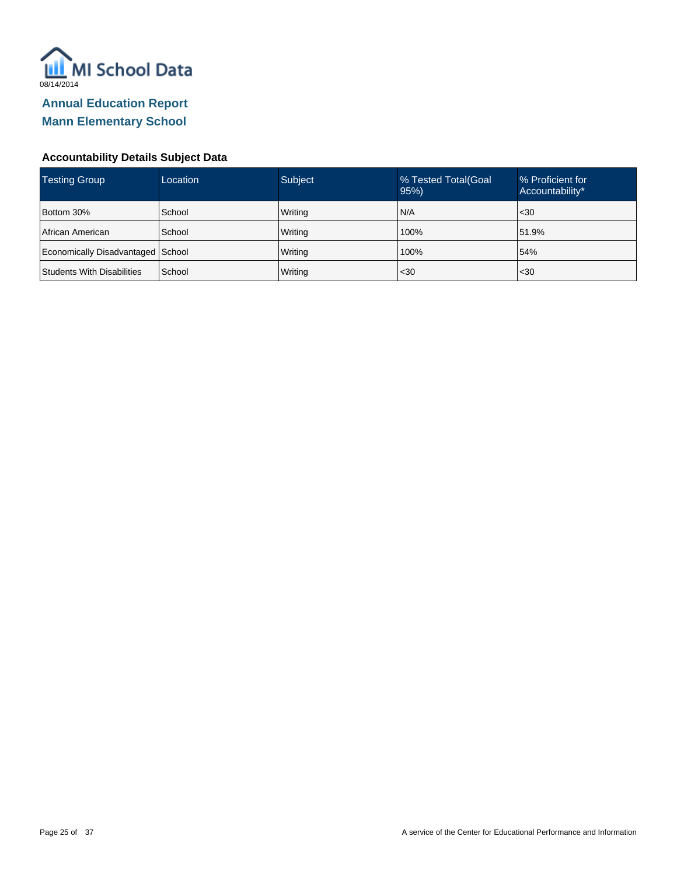

| Testing Group                     | Location | <b>Subject</b> | % Tested Total (Goal<br>95% | % Proficient for<br>Accountability* |
|-----------------------------------|----------|----------------|-----------------------------|-------------------------------------|
| Bottom 30%                        | School   | Writing        | N/A                         | $30$                                |
| <b>African American</b>           | School   | Writing        | 100%                        | 51.9%                               |
| Economically Disadvantaged School |          | Writing        | 100%                        | 54%                                 |
| Students With Disabilities        | School   | Writing        | $30$                        | $30$                                |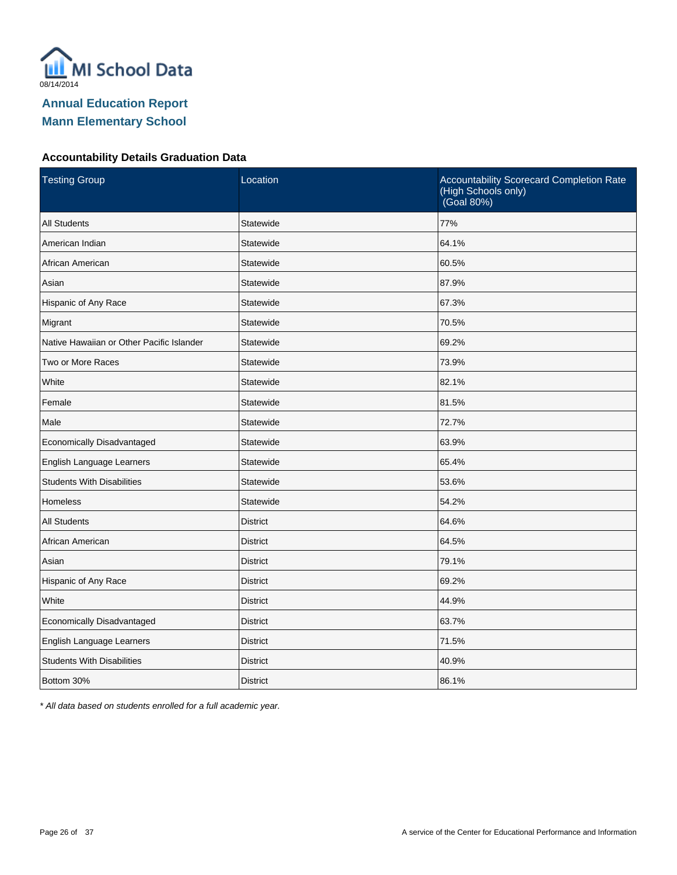

### **Accountability Details Graduation Data**

| <b>Testing Group</b>                      | Location        | <b>Accountability Scorecard Completion Rate</b><br>(High Schools only)<br>(Goal 80%) |
|-------------------------------------------|-----------------|--------------------------------------------------------------------------------------|
| <b>All Students</b>                       | Statewide       | 77%                                                                                  |
| American Indian                           | Statewide       | 64.1%                                                                                |
| African American                          | Statewide       | 60.5%                                                                                |
| Asian                                     | Statewide       | 87.9%                                                                                |
| Hispanic of Any Race                      | Statewide       | 67.3%                                                                                |
| Migrant                                   | Statewide       | 70.5%                                                                                |
| Native Hawaiian or Other Pacific Islander | Statewide       | 69.2%                                                                                |
| Two or More Races                         | Statewide       | 73.9%                                                                                |
| White                                     | Statewide       | 82.1%                                                                                |
| Female                                    | Statewide       | 81.5%                                                                                |
| Male                                      | Statewide       | 72.7%                                                                                |
| Economically Disadvantaged                | Statewide       | 63.9%                                                                                |
| English Language Learners                 | Statewide       | 65.4%                                                                                |
| <b>Students With Disabilities</b>         | Statewide       | 53.6%                                                                                |
| Homeless                                  | Statewide       | 54.2%                                                                                |
| <b>All Students</b>                       | <b>District</b> | 64.6%                                                                                |
| African American                          | <b>District</b> | 64.5%                                                                                |
| Asian                                     | <b>District</b> | 79.1%                                                                                |
| Hispanic of Any Race                      | <b>District</b> | 69.2%                                                                                |
| White                                     | <b>District</b> | 44.9%                                                                                |
| Economically Disadvantaged                | <b>District</b> | 63.7%                                                                                |
| English Language Learners                 | <b>District</b> | 71.5%                                                                                |
| <b>Students With Disabilities</b>         | <b>District</b> | 40.9%                                                                                |
| Bottom 30%                                | <b>District</b> | 86.1%                                                                                |

\* All data based on students enrolled for a full academic year.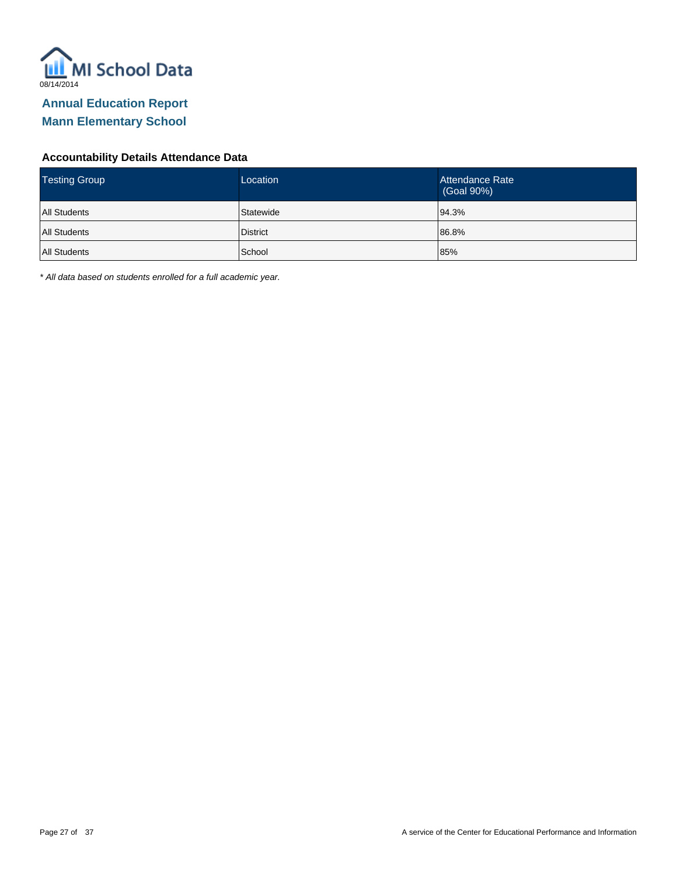

#### **Accountability Details Attendance Data**

| <b>Testing Group</b> | Location        | Attendance Rate<br>(Goal 90%) |
|----------------------|-----------------|-------------------------------|
| <b>All Students</b>  | Statewide       | 94.3%                         |
| All Students         | <b>District</b> | 86.8%                         |
| All Students         | School          | 85%                           |

\* All data based on students enrolled for a full academic year.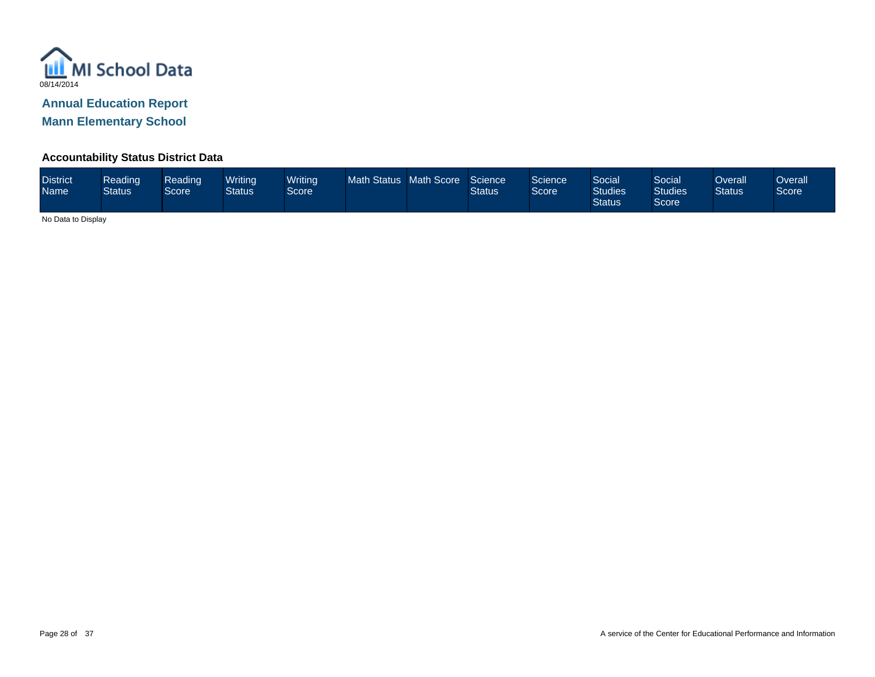

**Mann Elementary School**

#### **Accountability Status District Data**

| <b>District</b><br><b>Name</b> | Reading<br><b>Status</b> | Reading<br>Score <sup>1</sup> | Writina<br>Status | <b>Writing</b><br>Score <sup>1</sup> | <b>Math Status</b> | <b>Math Score</b> | Science<br>Status | Science <sup>'</sup><br>Score | Social<br><b>Studies</b><br><b>Status</b> | Social<br><b>Studies</b><br>Score | Overall<br><b>Status</b> | Overall<br>Score |
|--------------------------------|--------------------------|-------------------------------|-------------------|--------------------------------------|--------------------|-------------------|-------------------|-------------------------------|-------------------------------------------|-----------------------------------|--------------------------|------------------|
|--------------------------------|--------------------------|-------------------------------|-------------------|--------------------------------------|--------------------|-------------------|-------------------|-------------------------------|-------------------------------------------|-----------------------------------|--------------------------|------------------|

No Data to Display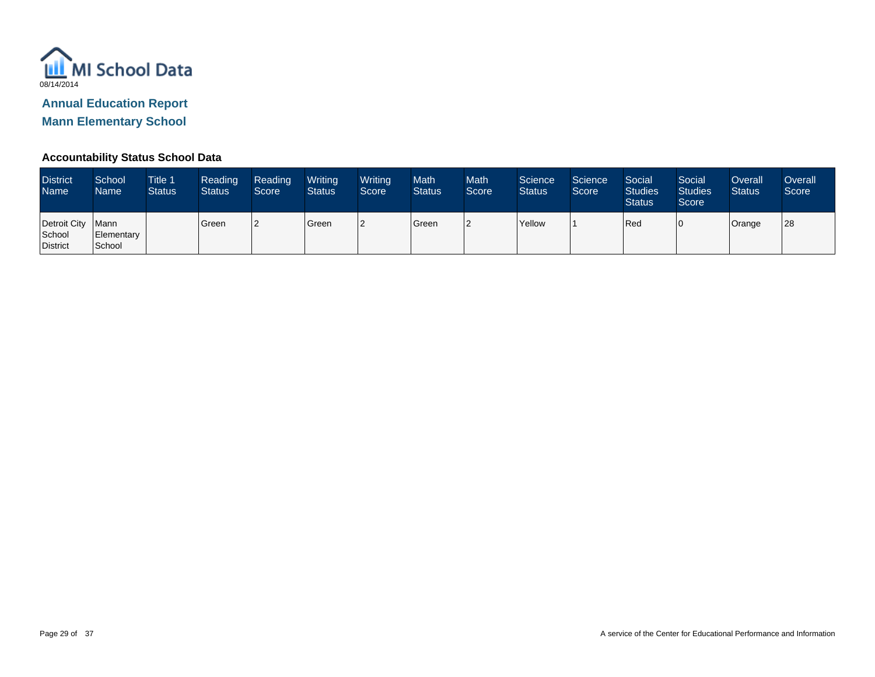

**Mann Elementary School**

#### **Accountability Status School Data**

| <b>District</b><br><b>Name</b>            | School<br><b>Name</b> | <b>Title 1</b><br><b>Status</b> | Reading<br><b>Status</b> | Reading<br>Score | Writing<br><b>Status</b> | Writing<br>Score <sup>1</sup> | <b>Math</b><br><b>Status</b> | <b>Math</b><br>Score | Science<br><b>Status</b> | Science<br>Score | Social<br><b>Studies</b><br><b>Status</b> | Social<br><b>Studies</b><br>Score | Overall<br><b>Status</b> | <b>Overall</b><br>Score |
|-------------------------------------------|-----------------------|---------------------------------|--------------------------|------------------|--------------------------|-------------------------------|------------------------------|----------------------|--------------------------|------------------|-------------------------------------------|-----------------------------------|--------------------------|-------------------------|
| Detroit City   Mann<br>School<br>District | Elementary<br>School  |                                 | Green                    |                  | Green                    |                               | Green                        | 2                    | <b>Yellow</b>            |                  | Red                                       |                                   | Orange                   | 28                      |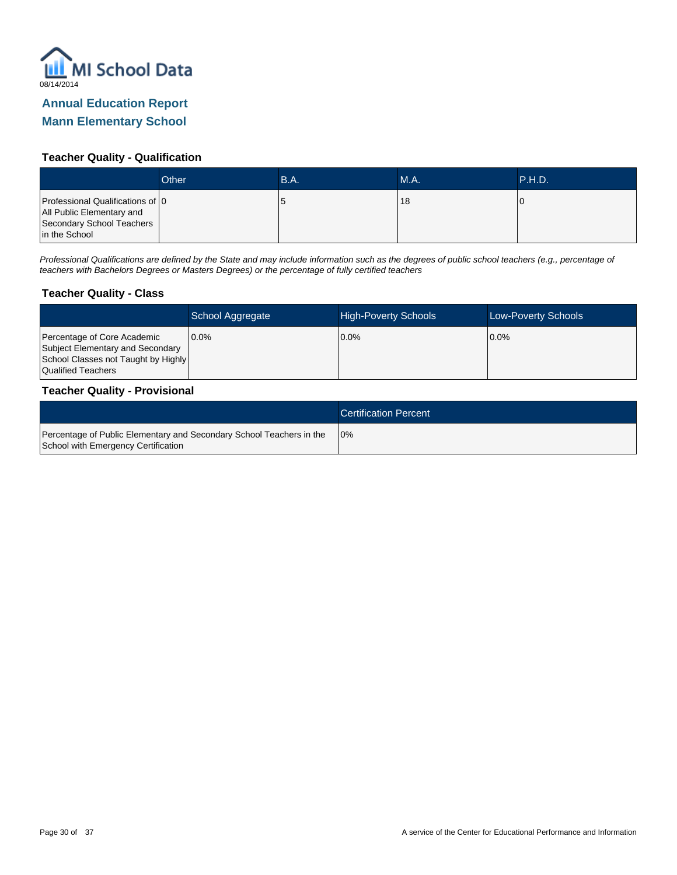

### **Mann Elementary School**

#### **Teacher Quality - Qualification**

|                                                                                                             | Other | B.A. | <b>M.A.</b> | <b>P.H.D.</b> |
|-------------------------------------------------------------------------------------------------------------|-------|------|-------------|---------------|
| Professional Qualifications of 0<br>All Public Elementary and<br>Secondary School Teachers<br>in the School |       | O    | 18          | U             |

Professional Qualifications are defined by the State and may include information such as the degrees of public school teachers (e.g., percentage of teachers with Bachelors Degrees or Masters Degrees) or the percentage of fully certified teachers

#### **Teacher Quality - Class**

|                                                                                                                              | School Aggregate | <b>High-Poverty Schools</b> | <b>Low-Poverty Schools</b> |
|------------------------------------------------------------------------------------------------------------------------------|------------------|-----------------------------|----------------------------|
| Percentage of Core Academic<br>Subject Elementary and Secondary<br>School Classes not Taught by Highly<br>Qualified Teachers | 10.0%            | 0.0%                        | $0.0\%$                    |

#### **Teacher Quality - Provisional**

|                                                                                                             | <b>Certification Percent</b> |
|-------------------------------------------------------------------------------------------------------------|------------------------------|
| Percentage of Public Elementary and Secondary School Teachers in the<br>School with Emergency Certification | 10%                          |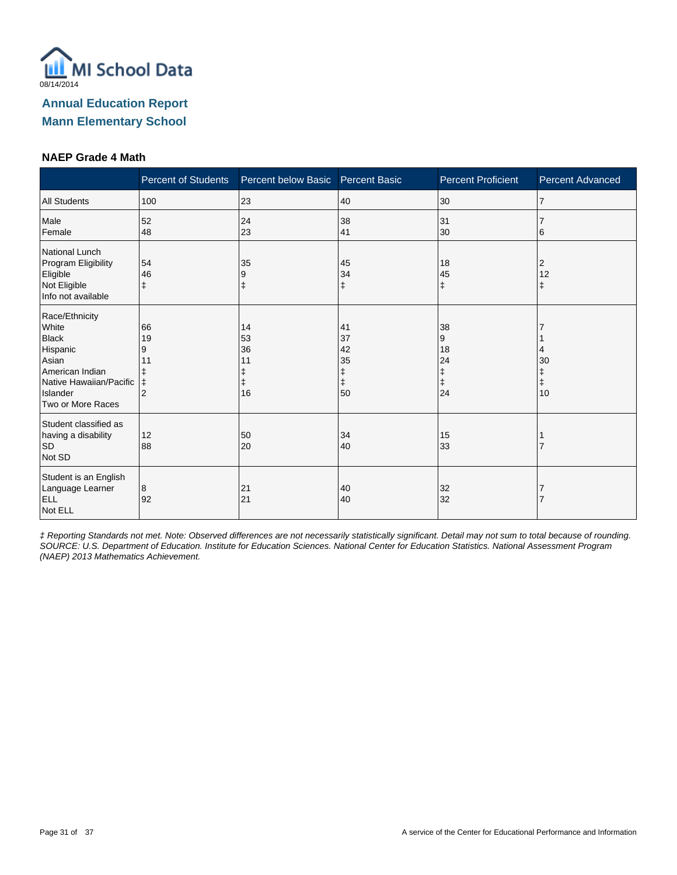

#### **NAEP Grade 4 Math**

|                                                                                                                                             | <b>Percent of Students</b>                               | Percent below Basic        | <b>Percent Basic</b>                 | <b>Percent Proficient</b>                    | <b>Percent Advanced</b> |
|---------------------------------------------------------------------------------------------------------------------------------------------|----------------------------------------------------------|----------------------------|--------------------------------------|----------------------------------------------|-------------------------|
| <b>All Students</b>                                                                                                                         | 100                                                      | 23                         | 40                                   | 30                                           | $\overline{7}$          |
| Male<br>Female                                                                                                                              | 52<br>48                                                 | 24<br>23                   | 38<br>41                             | 31<br>30                                     | 6                       |
| National Lunch<br>Program Eligibility<br>Eligible<br>Not Eligible<br>Info not available                                                     | 54<br>46<br>$\ddagger$                                   | 35<br>9<br>ŧ               | 45<br>34<br>ŧ                        | 18<br>45<br>$\ddagger$                       | 2<br>12<br>ŧ            |
| Race/Ethnicity<br>White<br><b>Black</b><br>Hispanic<br>Asian<br>American Indian<br>Native Hawaiian/Pacific<br>Islander<br>Two or More Races | 66<br>19<br>9<br>11<br>ŧ<br>$\ddagger$<br>$\overline{2}$ | 14<br>53<br>36<br>11<br>16 | 41<br>37<br>42<br>35<br>ŧ<br>ŧ<br>50 | 38<br>9<br>18<br>24<br>ŧ<br>$\ddagger$<br>24 | 4<br>30<br>ŧ<br>ŧ<br>10 |
| Student classified as<br>having a disability<br><b>SD</b><br>Not SD                                                                         | 12<br>88                                                 | 50<br>20                   | 34<br>40                             | 15<br>33                                     |                         |
| Student is an English<br>Language Learner<br><b>ELL</b><br>Not ELL                                                                          | 8<br>92                                                  | 21<br>21                   | 40<br>40                             | 32<br>32                                     |                         |

‡ Reporting Standards not met. Note: Observed differences are not necessarily statistically significant. Detail may not sum to total because of rounding. SOURCE: U.S. Department of Education. Institute for Education Sciences. National Center for Education Statistics. National Assessment Program (NAEP) 2013 Mathematics Achievement.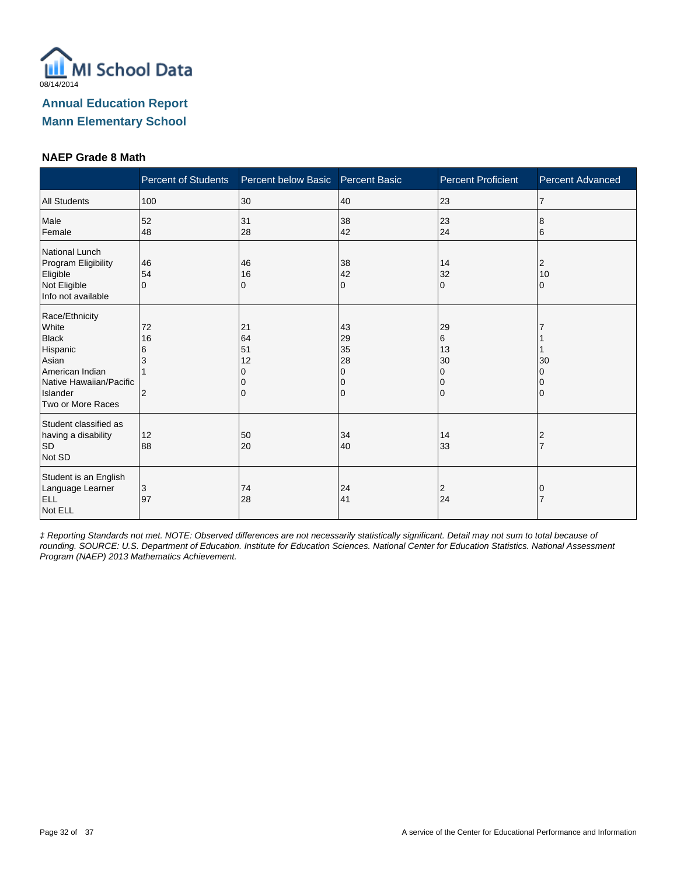

#### **NAEP Grade 8 Math**

|                                                                                                                                             | <b>Percent of Students</b>           | Percent below Basic       | <b>Percent Basic</b>                | <b>Percent Proficient</b>                    | Percent Advanced    |
|---------------------------------------------------------------------------------------------------------------------------------------------|--------------------------------------|---------------------------|-------------------------------------|----------------------------------------------|---------------------|
| <b>All Students</b>                                                                                                                         | 100                                  | 30                        | 40                                  | 23                                           | $\overline{7}$      |
| Male<br>Female                                                                                                                              | 52<br>48                             | 31<br>28                  | 38<br>42                            | 23<br>24                                     | 8<br>6              |
| National Lunch<br>Program Eligibility<br>Eligible<br>Not Eligible<br>Info not available                                                     | 46<br>54<br>$\Omega$                 | 46<br>16<br>0             | 38<br>42<br>0                       | 14<br>32<br>$\Omega$                         | 2<br>10<br>0        |
| Race/Ethnicity<br>White<br><b>Black</b><br>Hispanic<br>Asian<br>American Indian<br>Native Hawaiian/Pacific<br>Islander<br>Two or More Races | 72<br>16<br>6<br>3<br>$\overline{2}$ | 21<br>64<br>51<br>12<br>0 | 43<br>29<br>35<br>28<br>0<br>0<br>0 | 29<br>6<br>13<br>30<br>0<br>0<br>$\mathbf 0$ | 30                  |
| Student classified as<br>having a disability<br><b>SD</b><br>Not SD                                                                         | 12<br>88                             | 50<br>20                  | 34<br>40                            | 14<br>33                                     | 2<br>$\overline{7}$ |
| Student is an English<br>Language Learner<br>ELL<br>Not ELL                                                                                 | 3<br>97                              | 74<br>28                  | 24<br>41                            | $\overline{2}$<br>24                         | 0                   |

‡ Reporting Standards not met. NOTE: Observed differences are not necessarily statistically significant. Detail may not sum to total because of rounding. SOURCE: U.S. Department of Education. Institute for Education Sciences. National Center for Education Statistics. National Assessment Program (NAEP) 2013 Mathematics Achievement.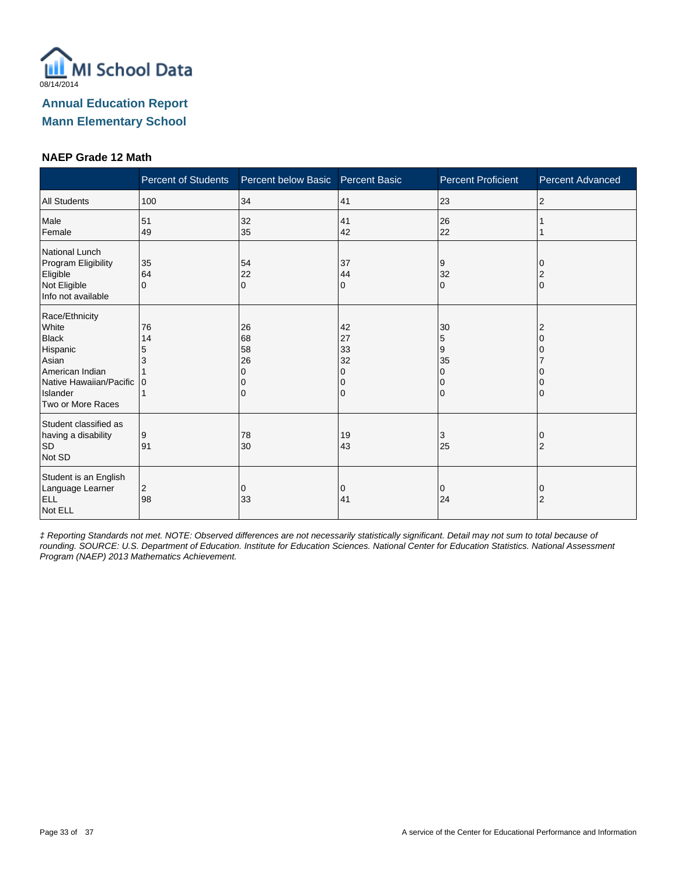

#### **NAEP Grade 12 Math**

|                                                                                                                                             | <b>Percent of Students</b> | Percent below Basic Percent Basic |                                     | <b>Percent Proficient</b> | <b>Percent Advanced</b> |
|---------------------------------------------------------------------------------------------------------------------------------------------|----------------------------|-----------------------------------|-------------------------------------|---------------------------|-------------------------|
| <b>All Students</b>                                                                                                                         | 100                        | 34                                | 41                                  | 23                        | 2                       |
| Male<br>Female                                                                                                                              | 51<br>49                   | 32<br>35                          | 41<br>42                            | 26<br>22                  |                         |
| National Lunch<br>Program Eligibility<br>Eligible<br>Not Eligible<br>Info not available                                                     | 35<br>64<br>$\Omega$       | 54<br>22<br>$\Omega$              | 37<br>44<br>0                       | 9<br>32<br>$\Omega$       | $\Omega$                |
| Race/Ethnicity<br>White<br><b>Black</b><br>Hispanic<br>Asian<br>American Indian<br>Native Hawaiian/Pacific<br>Islander<br>Two or More Races | 76<br>14<br>5<br>3<br>10   | 26<br>68<br>58<br>26              | 42<br>27<br>33<br>32<br>O<br>Ω<br>0 | 30<br>5<br>9<br>35<br>0   |                         |
| Student classified as<br>having a disability<br><b>SD</b><br>Not SD                                                                         | 9<br>91                    | 78<br>30                          | 19<br>43                            | 3<br>25                   | $\overline{2}$          |
| Student is an English<br>Language Learner<br><b>ELL</b><br>Not ELL                                                                          | 2<br>98                    | 0<br>33                           | 0<br>41                             | 0<br>24                   | O<br>$\overline{2}$     |

‡ Reporting Standards not met. NOTE: Observed differences are not necessarily statistically significant. Detail may not sum to total because of rounding. SOURCE: U.S. Department of Education. Institute for Education Sciences. National Center for Education Statistics. National Assessment Program (NAEP) 2013 Mathematics Achievement.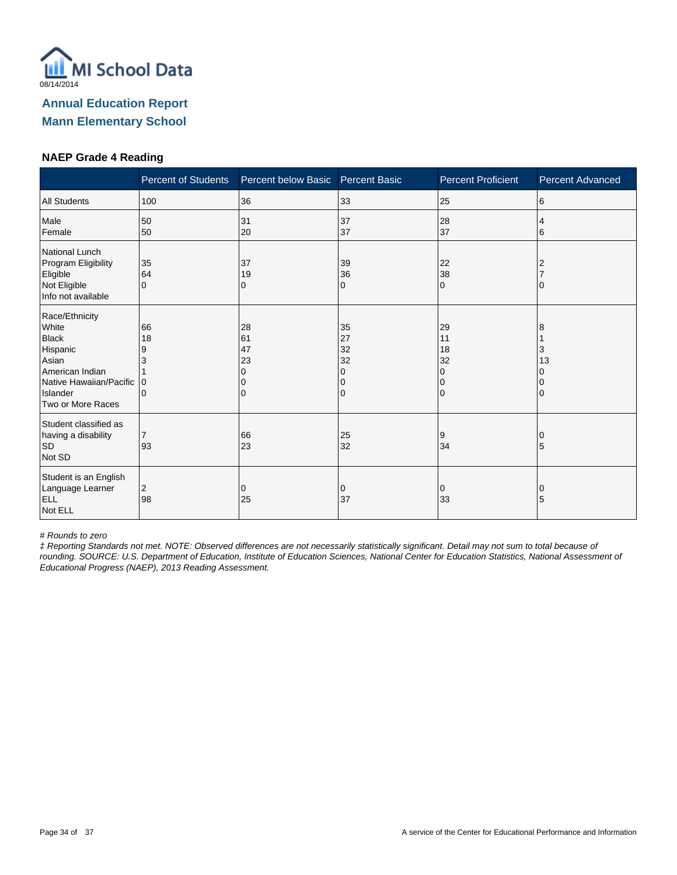

#### **NAEP Grade 4 Reading**

|                                                                                                                                             | <b>Percent of Students</b>   | Percent below Basic       | <b>Percent Basic</b>                | <b>Percent Proficient</b>                | Percent Advanced |
|---------------------------------------------------------------------------------------------------------------------------------------------|------------------------------|---------------------------|-------------------------------------|------------------------------------------|------------------|
| <b>All Students</b>                                                                                                                         | 100                          | 36                        | 33                                  | 25                                       | 6                |
| Male<br>Female                                                                                                                              | 50<br>50                     | 31<br>20                  | 37<br>37                            | 28<br>37                                 | 4<br>6           |
| National Lunch<br>Program Eligibility<br>Eligible<br>Not Eligible<br>Info not available                                                     | 35<br>64<br>$\Omega$         | 37<br>19<br>0             | 39<br>36<br>0                       | 22<br>38<br>$\Omega$                     |                  |
| Race/Ethnicity<br>White<br><b>Black</b><br>Hispanic<br>Asian<br>American Indian<br>Native Hawaiian/Pacific<br>Islander<br>Two or More Races | 66<br>18<br>9<br>3<br>0<br>0 | 28<br>61<br>47<br>23<br>0 | 35<br>27<br>32<br>32<br>0<br>0<br>0 | 29<br>11<br>18<br>32<br>0<br>$\mathbf 0$ | 8<br>3<br>13     |
| Student classified as<br>having a disability<br><b>SD</b><br>Not SD                                                                         | $\overline{7}$<br>93         | 66<br>23                  | 25<br>32                            | 9<br>34                                  | 5                |
| Student is an English<br>Language Learner<br>ELL<br>Not ELL                                                                                 | 2<br>98                      | 0<br>25                   | 0<br>37                             | 0<br>33                                  | 0<br>5           |

# Rounds to zero

‡ Reporting Standards not met. NOTE: Observed differences are not necessarily statistically significant. Detail may not sum to total because of rounding. SOURCE: U.S. Department of Education, Institute of Education Sciences, National Center for Education Statistics, National Assessment of Educational Progress (NAEP), 2013 Reading Assessment.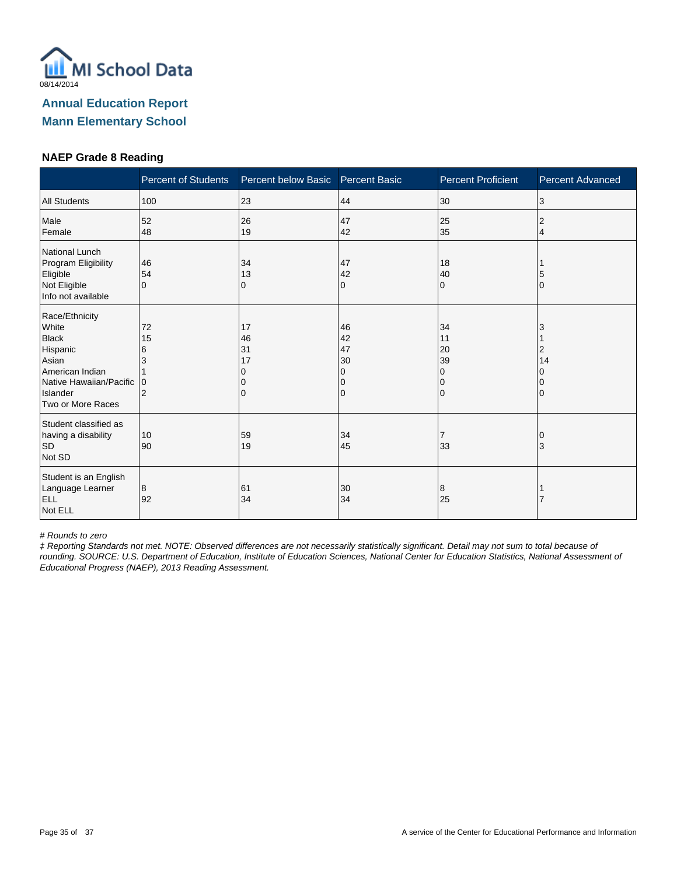

#### **NAEP Grade 8 Reading**

|                                                                                                                                             | <b>Percent of Students</b>          | Percent below Basic       | <b>Percent Basic</b>                | <b>Percent Proficient</b>                                   | Percent Advanced |
|---------------------------------------------------------------------------------------------------------------------------------------------|-------------------------------------|---------------------------|-------------------------------------|-------------------------------------------------------------|------------------|
| <b>All Students</b>                                                                                                                         | 100                                 | 23                        | 44                                  | 30                                                          | 3                |
| Male<br>Female                                                                                                                              | 52<br>48                            | 26<br>19                  | 47<br>42                            | 25<br>35                                                    | 2<br>4           |
| National Lunch<br>Program Eligibility<br>Eligible<br>Not Eligible<br>Info not available                                                     | 46<br>54<br>$\Omega$                | 34<br>13<br>0             | 47<br>42<br>0                       | 18<br>40<br>$\Omega$                                        | 5<br>O           |
| Race/Ethnicity<br>White<br><b>Black</b><br>Hispanic<br>Asian<br>American Indian<br>Native Hawaiian/Pacific<br>Islander<br>Two or More Races | 72<br>15<br>6<br>3<br>$\Omega$<br>2 | 17<br>46<br>31<br>17<br>0 | 46<br>42<br>47<br>30<br>0<br>0<br>0 | 34<br>11<br>20<br>39<br>$\Omega$<br>$\Omega$<br>$\mathbf 0$ | 2<br>14          |
| Student classified as<br>having a disability<br><b>SD</b><br>Not SD                                                                         | 10<br>90                            | 59<br>19                  | 34<br>45                            | 7<br>33                                                     | 3                |
| Student is an English<br>Language Learner<br>ELL<br>Not ELL                                                                                 | 8<br>92                             | 61<br>34                  | 30<br>34                            | 8<br>25                                                     |                  |

# Rounds to zero

‡ Reporting Standards not met. NOTE: Observed differences are not necessarily statistically significant. Detail may not sum to total because of rounding. SOURCE: U.S. Department of Education, Institute of Education Sciences, National Center for Education Statistics, National Assessment of Educational Progress (NAEP), 2013 Reading Assessment.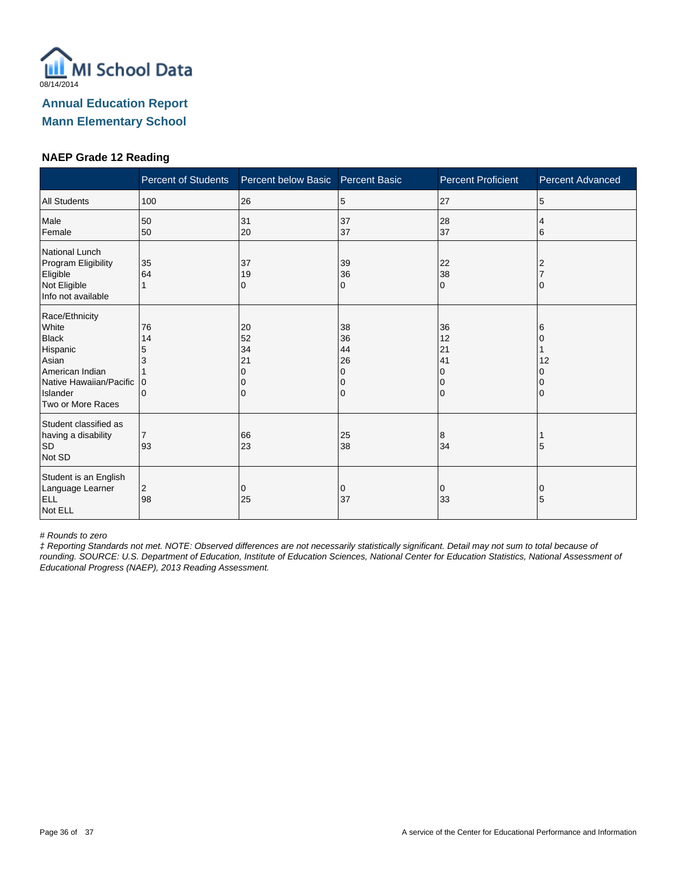

#### **NAEP Grade 12 Reading**

|                                                                                                                                             | <b>Percent of Students</b>   | Percent below Basic       | <b>Percent Basic</b>                | <b>Percent Proficient</b>                  | Percent Advanced |
|---------------------------------------------------------------------------------------------------------------------------------------------|------------------------------|---------------------------|-------------------------------------|--------------------------------------------|------------------|
| <b>All Students</b>                                                                                                                         | 100                          | 26                        | 5                                   | 27                                         | 5                |
| Male<br>Female                                                                                                                              | 50<br>50                     | 31<br>20                  | 37<br>37                            | 28<br>37                                   | 4<br>6           |
| National Lunch<br>Program Eligibility<br>Eligible<br>Not Eligible<br>Info not available                                                     | 35<br>64                     | 37<br>19<br>0             | 39<br>36<br>0                       | 22<br>38<br>$\Omega$                       |                  |
| Race/Ethnicity<br>White<br><b>Black</b><br>Hispanic<br>Asian<br>American Indian<br>Native Hawaiian/Pacific<br>Islander<br>Two or More Races | 76<br>14<br>5<br>3<br>0<br>0 | 20<br>52<br>34<br>21<br>0 | 38<br>36<br>44<br>26<br>0<br>0<br>0 | 36<br>12<br>21<br>41<br>$\Omega$<br>0<br>0 | 6<br>12          |
| Student classified as<br>having a disability<br><b>SD</b><br>Not SD                                                                         | $\overline{7}$<br>93         | 66<br>23                  | 25<br>38                            | 8<br>34                                    | 5                |
| Student is an English<br>Language Learner<br>ELL<br>Not ELL                                                                                 | 2<br>98                      | 0<br>25                   | 0<br>37                             | 0<br>33                                    | 0<br>5           |

# Rounds to zero

‡ Reporting Standards not met. NOTE: Observed differences are not necessarily statistically significant. Detail may not sum to total because of rounding. SOURCE: U.S. Department of Education, Institute of Education Sciences, National Center for Education Statistics, National Assessment of Educational Progress (NAEP), 2013 Reading Assessment.